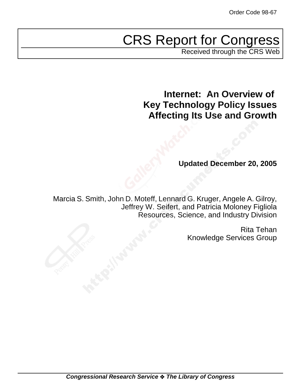# CRS Report for Congress

Received through the CRS Web

**Internet: An Overview of Key Technology Policy Issues Affecting Its Use and Growth**

**Updated December 20, 2005**

Marcia S. Smith, John D. Moteff, Lennard G. Kruger, Angele A. Gilroy, Jeffrey W. Seifert, and Patricia Moloney Figliola Resources, Science, and Industry Division

> Rita Tehan Knowledge Services Group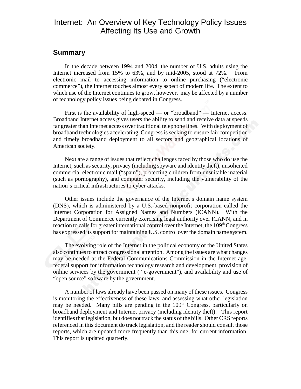## Internet: An Overview of Key Technology Policy Issues Affecting Its Use and Growth

#### **Summary**

In the decade between 1994 and 2004, the number of U.S. adults using the Internet increased from 15% to 63%, and by mid-2005, stood at 72%. From electronic mail to accessing information to online purchasing ("electronic commerce"), the Internet touches almost every aspect of modern life. The extent to which use of the Internet continues to grow, however, may be affected by a number of technology policy issues being debated in Congress.

First is the availability of high-speed — or "broadband" — Internet access. Broadband Internet access gives users the ability to send and receive data at speeds far greater than Internet access over traditional telephone lines. With deployment of broadband technologies accelerating, Congress is seeking to ensure fair competition and timely broadband deployment to all sectors and geographical locations of American society.

Next are a range of issues that reflect challenges faced by those who do use the Internet, such as security, privacy (including spyware and identity theft), unsolicited commercial electronic mail ("spam"), protecting children from unsuitable material (such as pornography), and computer security, including the vulnerability of the nation's critical infrastructures to cyber attacks.

Other issues include the governance of the Internet's domain name system (DNS), which is administered by a U.S.-based nonprofit corporation called the Internet Corporation for Assigned Names and Numbers (ICANN). With the Department of Commerce currently exercising legal authority over ICANN, and in reaction to calls for greater international control over the Internet, the  $109<sup>th</sup> Congress$ has expressed its support for maintaining U.S. control over the domain name system.

The evolving role of the Internet in the political economy of the United States also continues to attract congressional attention. Among the issues are what changes may be needed at the Federal Communications Commission in the Internet age, federal support for information technology research and development, provision of online services by the government ( "e-government"), and availability and use of "open source" software by the government.

A number of laws already have been passed on many of these issues. Congress is monitoring the effectiveness of these laws, and assessing what other legislation may be needed. Many bills are pending in the 109<sup>th</sup> Congress, particularly on broadband deployment and Internet privacy (including identity theft). This report identifies that legislation, but does not track the status of the bills. Other CRS reports referenced in this document do track legislation, and the reader should consult those reports, which are updated more frequently than this one, for current information. This report is updated quarterly.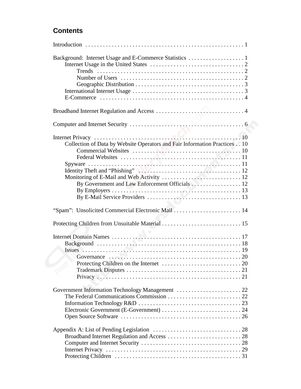## **Contents**

| Collection of Data by Website Operators and Fair Information Practices 10<br>By Government and Law Enforcement Officials 12 |
|-----------------------------------------------------------------------------------------------------------------------------|
| "Spam": Unsolicited Commercial Electronic Mail  14                                                                          |
|                                                                                                                             |
|                                                                                                                             |
|                                                                                                                             |
|                                                                                                                             |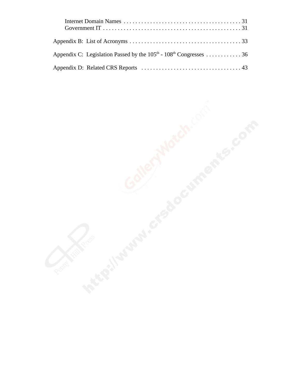| Appendix C: Legislation Passed by the $105th$ - $108th$ Congresses 36 |  |
|-----------------------------------------------------------------------|--|
|                                                                       |  |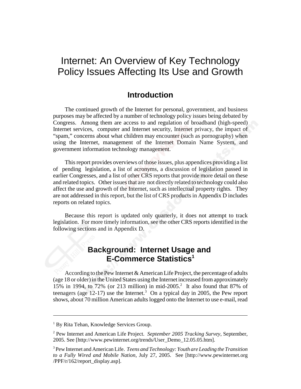## Internet: An Overview of Key Technology Policy Issues Affecting Its Use and Growth

## **Introduction**

The continued growth of the Internet for personal, government, and business purposes may be affected by a number of technology policy issues being debated by Congress. Among them are access to and regulation of broadband (high-speed) Internet services, computer and Internet security, Internet privacy, the impact of "spam," concerns about what children may encounter (such as pornography) when using the Internet, management of the Internet Domain Name System, and government information technology management.

This report provides overviews of those issues, plus appendices providing a list of pending legislation, a list of acronyms, a discussion of legislation passed in earlier Congresses, and a list of other CRS reports that provide more detail on these and related topics. Other issues that are not directly related to technology could also affect the use and growth of the Internet, such as intellectual property rights. They are not addressed in this report, but the list of CRS products in Appendix D includes reports on related topics.

Because this report is updated only quarterly, it does not attempt to track legislation. For more timely information, see the other CRS reports identified in the following sections and in Appendix D.

## **Background: Internet Usage and E-Commerce Statistics1**

According to the Pew Internet & American Life Project, the percentage of adults (age 18 or older) in the United States using the Internet increased from approximately 15% in 1994, to 72% (or 213 million) in mid-2005.<sup>2</sup> It also found that 87% of teenagers (age  $12-17$ ) use the Internet.<sup>3</sup> On a typical day in 2005, the Pew report shows, about 70 million American adults logged onto the Internet to use e-mail, read

<sup>&</sup>lt;sup>1</sup> By Rita Tehan, Knowledge Services Group.

<sup>2</sup> Pew Internet and American Life Project. *September 2005 Tracking Survey*, September, 2005. See [http://www.pewinternet.org/trends/User\_Demo\_12.05.05.htm].

<sup>3</sup> Pew Internet and American Life. *Teens and Technology: Youth are Leading the Transition to a Fully Wired and Mobile Nation*, July 27, 2005. See [http://www.pewinternet.org /PPF/r/162/report\_display.asp].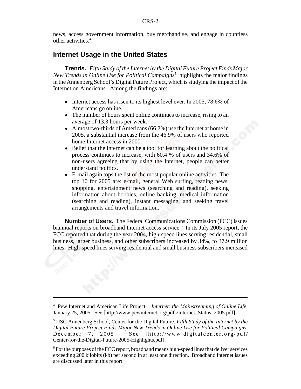news, access government information, buy merchandise, and engage in countless other activities.4

## **Internet Usage in the United States**

**Trends.** *Fifth Study of the Internet by the Digital Future Project Finds Major New Trends in Online Use for Political Campaigns*<sup>5</sup> highlights the major findings in the Annenberg School's Digital Future Project, which is studying the impact of the Internet on Americans. Among the findings are:

- Internet access has risen to its highest level ever. In 2005, 78.6% of Americans go online.
- The number of hours spent online continues to increase, rising to an average of 13.3 hours per week.
- $\bullet$  Almost two-thirds of Americans (66.2%) use the Internet at home in 2005, a substantial increase from the 46.9% of users who reported home Internet access in 2000.
- Belief that the Internet can be a tool for learning about the political process continues to increase, with 60.4 % of users and 34.6% of non-users agreeing that by using the Internet, people can better understand politics.
- ! E-mail again tops the list of the most popular online activities. The top 10 for 2005 are: e-mail, general Web surfing, reading news, shopping, entertainment news (searching and reading), seeking information about hobbies, online banking, medical information (searching and reading), instant messaging, and seeking travel arrangements and travel information.

**Number of Users.** The Federal Communications Commission (FCC) issues biannual reports on broadband Internet access service.<sup>6</sup> In its July 2005 report, the FCC reported that during the year 2004, high-speed lines serving residential, small business, larger business, and other subscribers increased by 34%, to 37.9 million lines. High-speed lines serving residential and small business subscribers increased

<sup>4</sup> Pew Internet and American Life Project. *Internet: the Mainstreaming of Online Life*, January 25, 2005. See [http://www.pewinternet.org/pdfs/Internet\_Status\_2005.pdf].

<sup>5</sup> USC Annenberg School, Center for the Digital Future. *Fifth Study of the Internet by the Digital Future Project Finds Major New Trends in Online Use for Political Campaigns*, December 7, 2005. See [http://www.digitalcenter.org/pdf/ Center-for-the-Digital-Future-2005-Highlights.pdf].

<sup>&</sup>lt;sup>6</sup> For the purposes of the FCC report, broadband means high-speed lines that deliver services exceeding 200 kilobits (kb) per second in at least one direction. Broadband Internet issues are discussed later in this report.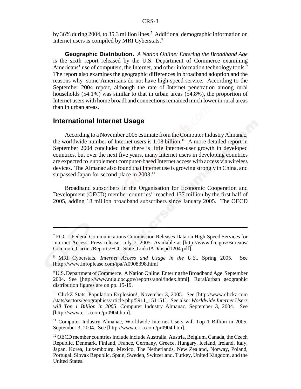by 36% during 2004, to 35.3 million lines.<sup>7</sup> Additional demographic information on Internet users is compiled by MRI Cyberstats.8

**Geographic Distribution.** *A Nation Online: Entering the Broadband Age* is the sixth report released by the U.S. Department of Commerce examining Americans' use of computers, the Internet, and other information technology tools.<sup>9</sup> The report also examines the geographic differences in broadband adoption and the reasons why some Americans do not have high-speed service. According to the September 2004 report, although the rate of Internet penetration among rural households (54.1%) was similar to that in urban areas (54.8%), the proportion of Internet users with home broadband connections remained much lower in rural areas than in urban areas.

#### **International Internet Usage**

According to a November 2005 estimate from the Computer Industry Almanac, the worldwide number of Internet users is  $1.08$  billion.<sup>10</sup> A more detailed report in September 2004 concluded that there is little Internet-user growth in developed countries, but over the next five years, many Internet users in developing countries are expected to supplement computer-based Internet access with access via wireless devices. The Almanac also found that Internet use is growing strongly in China, and surpassed Japan for second place in  $2003$ .<sup>11</sup>

Broadband subscribers in the Organisation for Economic Cooperation and Development (OECD) member countries<sup>12</sup> reached 137 million by the first half of 2005, adding 18 million broadband subscribers since January 2005. The OECD

<sup>&</sup>lt;sup>7</sup> FCC. Federal Communications Commission Releases Data on High-Speed Services for Internet Access. Press release, July 7, 2005. Available at [http://www.fcc.gov/Bureaus/ Common\_Carrier/Reports/FCC-State\_Link/IAD/hspd1204.pdf].

<sup>8</sup> MRI Cyberstats, *Internet Access and Usage in the U.S*., Spring 2005. See [http://www.infoplease.com/ipa/A0908398.html]

<sup>&</sup>lt;sup>9</sup> U.S. Department of Commerce. A Nation Online: Entering the Broadband Age. September 2004. See [http://www.ntia.doc.gov/reports/anol/index.html]. Rural/urban geographic distribution figures are on pp. 15-19.

<sup>&</sup>lt;sup>10</sup> ClickZ Stats, Population Explosion!, November 3, 2005. See [http://www.clickz.com /stats/sectors/geographics/article.php/5911\_151151]. See also: *Worldwide Internet Users will Top 1 Billion in 2005*. Computer Industry Almanac, September 3, 2004. See [http://www.c-i-a.com/pr0904.htm].

<sup>&</sup>lt;sup>11</sup> Computer Industry Almanac, Worldwide Internet Users will Top 1 Billion in 2005. September 3, 2004. See [http://www.c-i-a.com/pr0904.htm].

<sup>&</sup>lt;sup>12</sup> OECD member countries include include Australia, Austria, Belgium, Canada, the Czech Republic, Denmark, Finland, France, Germany, Greece, Hungary, Iceland, Ireland, Italy, Japan, Korea, Luxembourg, Mexico, The Netherlands, New Zealand, Norway, Poland, Portugal, Slovak Republic, Spain, Sweden, Switzerland, Turkey, United Kingdom, and the United States.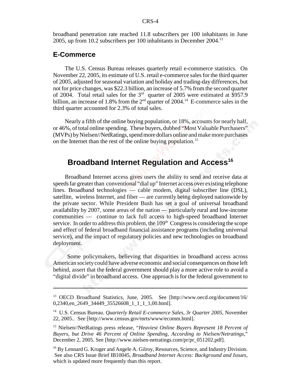broadband penetration rate reached 11.8 subscribers per 100 inhabitants in June 2005, up from 10.2 subscribers per 100 inhabitants in December 2004.13

#### **E-Commerce**

The U.S. Census Bureau releases quarterly retail e-commerce statistics. On November 22, 2005, its estimate of U.S. retail e-commerce sales for the third quarter of 2005, adjusted for seasonal variation and holiday and trading-day differences, but not for price changes, was \$22.3 billion, an increase of 5.7% from the second quarter of 2004. Total retail sales for the 3rd quarter of 2005 were estimated at \$957.9 billion, an increase of 1.8% from the  $2<sup>nd</sup>$  quarter of 2004.<sup>14</sup> E-commerce sales in the third quarter accounted for 2.3% of total sales.

Nearly a fifth of the online buying population, or 18%, accounts for nearly half, or 46%, of total online spending. These buyers, dubbed "Most Valuable Purchasers" (MVPs) by Nielsen//NetRatings, spend more dollars online and make more purchases on the Internet than the rest of the online buying population.<sup>15</sup>

## **Broadband Internet Regulation and Access<sup>16</sup>**

Broadband Internet access gives users the ability to send and receive data at speeds far greater than conventional "dial up" Internet access over existing telephone lines. Broadband technologies — cable modem, digital subscriber line (DSL), satellite, wireless Internet, and fiber — are currently being deployed nationwide by the private sector. While President Bush has set a goal of universal broadband availability by 2007, some areas of the nation — particularly rural and low-income communities — continue to lack full access to high-speed broadband Internet service. In order to address this problem, the  $109<sup>th</sup>$  Congress is considering the scope and effect of federal broadband financial assistance programs (including universal service), and the impact of regulatory policies and new technologies on broadband deployment.

 Some policymakers, believing that disparities in broadband access across American society could have adverse economic and social consequences on those left behind, assert that the federal government should play a more active role to avoid a "digital divide" in broadband access. One approach is for the federal government to

<sup>13</sup> OECD Broadband Statistics, June, 2005. See [http://www.oecd.org/document/16/ 0,2340,en 2649 34449 35526608 1 1 1 1,00.html].

<sup>14</sup> U.S. Census Bureau. *Quarterly Retail E-commerce Sales, 3r Quarter 2005,* November 22, 2005.. See [http://www.census.gov/mrts/www/ecomm.html].

<sup>15</sup> Nielsen//NetRatings press release, "*Heaviest Online Buyers Represent 18 Percent of Buyers, but Drive 46 Percent of Online Spending, According to Nielsen/Netratings*," December 2, 2005. See [http://www.nielsen-netratings.com/pr/pr\_051202.pdf].

<sup>&</sup>lt;sup>16</sup> By Lennard G. Kruger and Angele A. Gilroy, Resources, Science, and Industry Division. See also CRS Issue Brief IB10045, *Broadband Internet Access: Background and Issues*, which is updated more frequently than this report.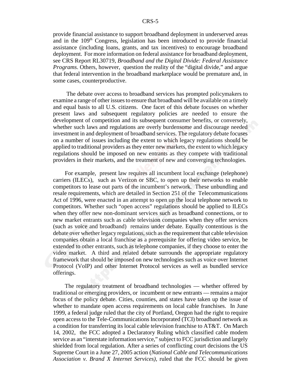provide financial assistance to support broadband deployment in underserved areas and in the 109<sup>th</sup> Congress, legislation has been introduced to provide financial assistance (including loans, grants, and tax incentives) to encourage broadband deployment. For more information on federal assistance for broadband deployment, see CRS Report RL30719, *Broadband and the Digital Divide: Federal Assistance Programs*. Others, however, question the reality of the "digital divide," and argue that federal intervention in the broadband marketplace would be premature and, in some cases, counterproductive.

 The debate over access to broadband services has prompted policymakers to examine a range of other issues to ensure that broadband will be available on a timely and equal basis to all U.S. citizens. One facet of this debate focuses on whether present laws and subsequent regulatory policies are needed to ensure the development of competition and its subsequent consumer benefits, or conversely, whether such laws and regulations are overly burdensome and discourage needed investment in and deployment of broadband services. The regulatory debate focuses on a number of issues including the extent to which legacy regulations should be applied to traditional providers as they enter new markets, the extent to which legacy regulations should be imposed on new entrants as they compete with traditional providers in their markets, and the treatment of new and converging technologies.

For example, present law requires all incumbent local exchange (telephone) carriers (ILECs), such as Verizon or SBC, to open up their networks to enable competitors to lease out parts of the incumbent's network. These unbundling and resale requirements, which are detailed in Section 251 of the Telecommunications Act of 1996, were enacted in an attempt to open up the local telephone network to competitors. Whether such "open access" regulations should be applied to ILECs when they offer new non-dominant services such as broadband connections, or to new market entrants such as cable television companies when they offer services (such as voice and broadband) remains under debate. Equally contentious is the debate over whether legacy regulations, such as the requirement that cable television companies obtain a local franchise as a prerequisite for offering video service, be extended to other entrants, such as telephone companies, if they choose to enter the video market. A third and related debate surrounds the appropriate regulatory framework that should be imposed on new technologies such as voice over Internet Protocol (VoIP) and other Internet Protocol services as well as bundled service offerings.

The regulatory treatment of broadband technologies — whether offered by traditional or emerging providers, or incumbent or new entrants — remains a major focus of the policy debate. Cities, counties, and states have taken up the issue of whether to mandate open access requirements on local cable franchises. In June 1999, a federal judge ruled that the city of Portland, Oregon had the right to require open access to the Tele-Communications Incorporated (TCI) broadband network as a condition for transferring its local cable television franchise to AT&T. On March 14, 2002, the FCC adopted a Declaratory Ruling which classified cable modem service as an "interstate information service," subject to FCC jurisdiction and largely shielded from local regulation. After a series of conflicting court decisions the US Supreme Court in a June 27, 2005 action (*National Cable and Telecommunications Association v. Brand X Internet Services),* ruled that the FCC should be given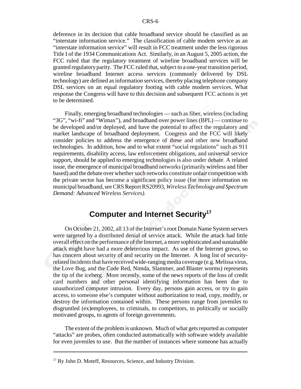deference in its decision that cable broadband service should be classified as an "interstate information service." The classification of cable modem service as an "interstate information service" will result in FCC treatment under the less rigorous Title I of the 1934 Communications Act. Similarly, in an August 5, 2005 action, the FCC ruled that the regulatory treatment of wireline broadband services will be granted regulatory parity. The FCC ruled that, subject to a one-year transition period, wireline broadband Internet access services (commonly delivered by DSL technology) are defined as information services, thereby placing telephone company DSL services on an equal regulatory footing with cable modem services. What response the Congress will have to this decision and subsequent FCC actions is yet to be determined.

Finally, emerging broadband technologies — such as fiber, wireless (including "3G", "wi-fi" and "Wimax"), and broadband over power lines (BPL) — continue to be developed and/or deployed, and have the potential to affect the regulatory and market landscape of broadband deployment. Congress and the FCC will likely consider policies to address the emergence of these and other new broadband technologies. In addition, how and to what extent "social regulations" such as 911 requirements, disability access, law enforcement obligations, and universal service support, should be applied to emerging technologies is also under debate. A related issue, the emergence of municipal broadband networks (primarily wireless and fiber based) and the debate over whether such networks constitute unfair competition with the private sector has become a significant policy issue (for more information on municipal broadband, see CRS Report RS20993, *Wireless Technology and Spectrum Demand: Advanced Wireless Services)*.

## **Computer and Internet Security17**

On October 21, 2002, all 13 of the Internet's root Domain Name System servers were targeted by a distributed denial of service attack. While the attack had little overall effect on the performance of the Internet, a more sophisticated and sustainable attack might have had a more deleterious impact. As use of the Internet grows, so has concern about security of and security on the Internet. A long list of securityrelated incidents that have received wide-ranging media coverage (e.g. Melissa virus, the Love Bug, and the Code Red, Nimda, Slammer, and Blaster worms) represents the tip of the iceberg. More recently, some of the news reports of the loss of credit card numbers and other personal identifying information has been due to unauthorized computer intrusion. Every day, persons gain access, or try to gain access, to someone else's computer without authorization to read, copy, modify, or destroy the information contained within. These persons range from juveniles to disgruntled (ex)employees, to criminals, to competitors, to politically or socially motivated groups, to agents of foreign governments.

The extent of the problem is unknown. Much of what gets reported as computer "attacks" are probes, often conducted automatically with software widely available for even juveniles to use. But the number of instances where someone has actually

<sup>&</sup>lt;sup>17</sup> By John D. Moteff, Resources, Science, and Industry Division.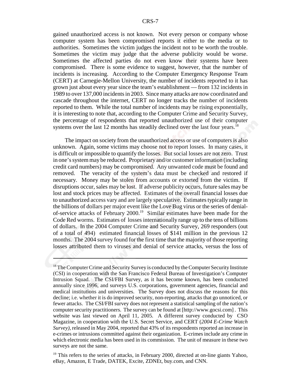gained unauthorized access is not known. Not every person or company whose computer system has been compromised reports it either to the media or to authorities. Sometimes the victim judges the incident not to be worth the trouble. Sometimes the victim may judge that the adverse publicity would be worse. Sometimes the affected parties do not even know their systems have been compromised. There is some evidence to suggest, however, that the number of incidents is increasing. According to the Computer Emergency Response Team (CERT) at Carnegie-Mellon University, the number of incidents reported to it has grown just about every year since the team's establishment — from 132 incidents in 1989 to over 137,000 incidents in 2003. Since many attacks are now coordinated and cascade throughout the internet, CERT no longer tracks the number of incidents reported to them. While the total number of incidents may be rising exponentially, it is interesting to note that, according to the Computer Crime and Security Survey, the percentage of respondents that reported unauthorized use of their computer systems over the last 12 months has steadily declined over the last four years.<sup>18</sup>

The impact on society from the unauthorized access or use of computers is also unknown. Again, some victims may choose not to report losses. In many cases, it is difficult or impossible to quantify the losses. But social losses are not zero. Trust in one's system may be reduced. Proprietary and/or customer information (including credit card numbers) may be compromised. Any unwanted code must be found and removed. The veracity of the system's data must be checked and restored if necessary. Money may be stolen from accounts or extorted from the victim. If disruptions occur, sales may be lost. If adverse publicity occurs, future sales may be lost and stock prices may be affected. Estimates of the overall financial losses due to unauthorized access vary and are largely speculative. Estimates typically range in the billions of dollars per major event like the Love Bug virus or the series of denialof-service attacks of February 2000.19 Similar estimates have been made for the Code Red worms. Estimates of losses internationally range up to the tens of billions of dollars. In the 2004 Computer Crime and Security Survey, 269 responders (out of a total of 494) estimated financial losses of \$141 million in the previous 12 months. The 2004 survey found for the first time that the majority of those reporting losses attributed them to viruses and denial of service attacks, versus the loss of

 $19$  This refers to the series of attacks, in February 2000, directed at on-line giants Yahoo, eBay, Amazon, E Trade, DATEK, Excite, ZDNEt, buy.com, and CNN.

<sup>&</sup>lt;sup>18</sup> The Computer Crime and Security Survey is conducted by the Computer Security Institute (CSI) in cooperation with the San Francisco Federal Bureau of Investigation's Computer Intrusion Squad. The CSI/FBI Survey, as it has become known, has been conducted annually since 1996, and surveys U.S. corporations, government agencies, financial and medical institutions and universities. The Survey does not discuss the reasons for this decline; i.e. whether it is do improved security, non-reporting, attacks that go unnoticed, or fewer attacks. The CSI/FBI survey does not represent a statistical sampling of the nation's computer security practitioners. The survey can be found at [http://www.gocsi.com] . This website was last viewed on April 11, 2005. A different survey conducted by CSO Magazine, in cooperation with the U.S. Secret Service, and CERT (*2004 E-Crime Watch Survey),* released in May 2004, reported that 43% of its respondents reported an increase in e-crimes or intrusions committed against their organization. E-crimes include any crime in which electronic media has been used in its commission. The unit of measure in these two surveys are not the same.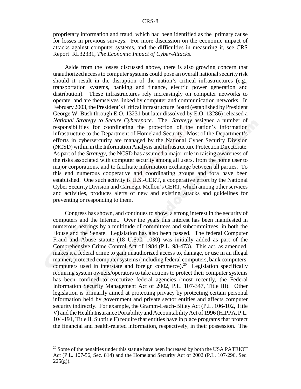proprietary information and fraud, which had been identified as the primary cause for losses in previous surveys. For more discussion on the economic impact of attacks against computer systems, and the difficulties in measuring it, see CRS Report RL32331, *The Economic Impact of Cyber-Attacks*.

Aside from the losses discussed above, there is also growing concern that unauthorized access to computer systems could pose an overall national security risk should it result in the disruption of the nation's critical infrastructures (e.g., transportation systems, banking and finance, electric power generation and distribution). These infrastructures rely increasingly on computer networks to operate, and are themselves linked by computer and communication networks. In February 2003, the President's Critical Infrastructure Board (established by President George W. Bush through E.O. 13231 but later dissolved by E.O. 13286) released a *National Strategy to Secure Cyberspace*. The *Strategy* assigned a number of responsibilities for coordinating the protection of the nation's information infrastructure to the Department of Homeland Security. Most of the Department's efforts in cybersercurity are managed by the National Cyber Security Division (NCSD) within in the Information Analysis and Infrastructure Protection Directorate. As part of the *Strategy*, the NCSD has assumed a major role in raising awareness of the risks associated with computer security among all users, from the home user to major corporations, and to facilitate information exchange between all parties. To this end numerous cooperative and coordinating groups and fora have been established. One such activity is U.S.-CERT, a cooperative effort by the National Cyber Security Division and Carnegie Mellon's CERT, which among other services and activities, produces alerts of new and existing attacks and guidelines for preventing or responding to them.

Congress has shown, and continues to show, a strong interest in the security of computers and the Internet. Over the years this interest has been manifested in numerous hearings by a multitude of committees and subcommittees, in both the House and the Senate. Legislation has also been passed. The federal Computer Fraud and Abuse statute (18 U.S.C. 1030) was initially added as part of the Comprehensive Crime Control Act of 1984 (P.L. 98-473). This act, as amended, makes it a federal crime to gain unauthorized access to, damage, or use in an illegal manner, protected computer systems (including federal computers, bank computers, computers used in interstate and foreign commerce).<sup>20</sup> Legislation specifically requiring system owners/operators to take actions to protect their computer systems has been confined to executive federal agencies (most recently, the Federal Information Security Management Act of 2002, P.L. 107-347, Title III). Other legislation is primarily aimed at protecting privacy by protecting certain personal information held by government and private sector entities and affects computer security indirectly. For example, the Gramm-Leach-Bliley Act (P.L. 106-102, Title V) and the Health Insurance Portability and Accountability Act of 1996 (HIPPA, P.L. 104-191, Title II, Subtitle F) require that entities have in place programs that protect the financial and health-related information, respectively, in their possession. The

 $20$  Some of the penalties under this statute have been increased by both the USA PATRIOT Act (P.L. 107-56, Sec. 814) and the Homeland Security Act of 2002 (P.L. 107-296, Sec.  $225(g)$ ).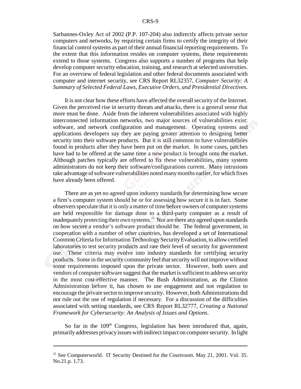Sarbannes-Oxley Act of 2002 (P.P. 107-204) also indirectly affects private sector computers and networks, by requiring certain firms to certify the integrity of their financial control systems as part of their annual financial reporting requirements. To the extent that this information resides on computer systems, these requirements extend to those systems. Congress also supports a number of programs that help develop computer security education, training, and research at selected universities. For an overview of federal legislation and other federal documents associated with computer and internet security, see CRS Report RL32357, *Computer Security: A Summary of Selected Federal Laws, Executive Orders, and Presidential Directives*.

It is not clear how these efforts have affected the overall security of the Internet. Given the perceived rise in security threats and attacks, there is a general sense that more must be done. Aside from the inherent vulnerabilities associated with highly interconnected information networks, two major sources of vulnerabilities exist: software, and network configuration and management. Operating systems and applications developers say they are paying greater attention to designing better security into their software products. But it is still common to have vulnerabilities found in products after they have been put on the market. In some cases, patches have had to be offered at the same time a new product is brought onto the market. Although patches typically are offered to fix these vulnerabilities, many system administrators do not keep their software/configurations current. Many intrusions take advantage of software vulnerabilities noted many months earlier, for which fixes have already been offered.

There are as yet no agreed upon industry standards for determining how secure a firm's computer system should be or for assessing how secure it is in fact. Some observers speculate that it is only a matter of time before owners of computer systems are held responsible for damage done to a third-party computer as a result of inadequately protecting their own systems. $^{21}$  Nor are there any agreed upon standards on how secure a vendor's software product should be. The federal government, in cooperation with a number of other countries, has developed a set of International Common Criteria for Information Technology Security Evaluation, to allow certified laboratories to test security products and rate their level of security for government use. These criteria may evolve into industry standards for certifying security products. Some in the security community feel that security will not improve without some requirements imposed upon the private sector. However, both users and vendors of computer software suggest that the market is sufficient to address security in the most cost-effective manner. The Bush Administration, as the Clinton Administration before it, has chosen to use engagement and not regulation to encourage the private sector to improve security. However, both Administrations did not rule out the use of regulation if necessary. For a discussion of the difficulties associated with setting standards, see CRS Report RL32777, *Creating a National Framework for Cybersecurity: An Analysis of Issues and Options*.

So far in the  $109<sup>th</sup>$  Congress, legislation has been introduced that, again, primarily addresses privacy issues with indirect impact on computer security. In light

 $21$  See Computerworld. IT Security Destined for the Courtroom. May 21, 2001. Vol. 35. No.21.p. 1,73.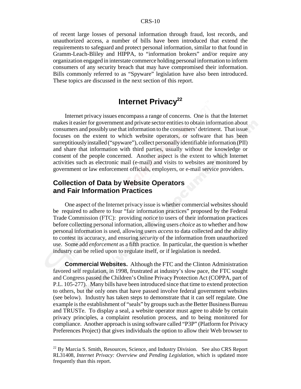of recent large losses of personal information through fraud, lost records, and unauthorized access, a number of bills have been introduced that extend the requirements to safeguard and protect personal information, similar to that found in Gramm-Leach-Bliley and HIPPA, to "information brokers" and/or require any organization engaged in interstate commerce holding personal information to inform consumers of any security breach that may have compromised their information. Bills commonly referred to as "Spyware" legislation have also been introduced. These topics are discussed in the next section of this report.

## **Internet Privacy<sup>22</sup>**

Internet privacy issues encompass a range of concerns. One is that the Internet makes it easier for government and private sector entities to obtain information about consumers and possibly use that information to the consumers' detriment. That issue focuses on the extent to which website operators, or software that has been surreptitiously installed ("spyware"), collect personally identifiable information (PII) and share that information with third parties, usually without the knowledge or consent of the people concerned. Another aspect is the extent to which Internet activities such as electronic mail (e-mail) and visits to websites are monitored by government or law enforcement officials, employers, or e-mail service providers.

#### **Collection of Data by Website Operators and Fair Information Practices**

One aspect of the Internet privacy issue is whether commercial websites should be required to adhere to four "fair information practices" proposed by the Federal Trade Commission (FTC): providing *notice* to users of their information practices before collecting personal information, allowing users *choice* as to whether and how personal information is used, allowing users *access* to data collected and the ability to contest its accuracy, and ensuring *security* of the information from unauthorized use. Some add *enforcement* as a fifth practice. In particular, the question is whether industry can be relied upon to regulate itself, or if legislation is needed.

**Commercial Websites.** Although the FTC and the Clinton Administration favored self regulation, in 1998, frustrated at industry's slow pace, the FTC sought and Congress passed the Children's Online Privacy Protection Act (COPPA, part of P.L. 105-277). Many bills have been introduced since that time to extend protection to others, but the only ones that have passed involve federal government websites (see below). Industry has taken steps to demonstrate that it can self regulate. One example is the establishment of "seals" by groups such as the Better Business Bureau and TRUSTe. To display a seal, a website operator must agree to abide by certain privacy principles, a complaint resolution process, and to being monitored for compliance. Another approach is using software called "P3P" (Platform for Privacy Preferences Project) that gives individuals the option to allow their Web browser to

<sup>&</sup>lt;sup>22</sup> By Marcia S. Smith, Resources, Science, and Industry Division. See also CRS Report RL31408, *Internet Privacy: Overview and Pending Legislation*, which is updated more frequently than this report.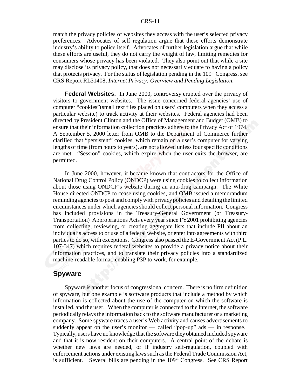#### CRS-11

match the privacy policies of websites they access with the user's selected privacy preferences. Advocates of self regulation argue that these efforts demonstrate industry's ability to police itself. Advocates of further legislation argue that while these efforts are useful, they do not carry the weight of law, limiting remedies for consumers whose privacy has been violated. They also point out that while a site may disclose its privacy policy, that does not necessarily equate to having a policy that protects privacy. For the status of legislation pending in the  $109<sup>th</sup>$  Congress, see CRS Report RL31408, *Internet Privacy: Overview and Pending Legislation*.

**Federal Websites.** In June 2000, controversy erupted over the privacy of visitors to government websites. The issue concerned federal agencies' use of computer "cookies"(small text files placed on users' computers when they access a particular website) to track activity at their websites. Federal agencies had been directed by President Clinton and the Office of Management and Budget (OMB) to ensure that their information collection practices adhere to the Privacy Act of 1974. A September 5, 2000 letter from OMB to the Department of Commerce further clarified that "persistent" cookies, which remain on a user's computer for varying lengths of time (from hours to years), are not allowed unless four specific conditions are met. "Session" cookies, which expire when the user exits the browser, are permitted.

In June 2000, however, it became known that contractors for the Office of National Drug Control Policy (ONDCP) were using cookies to collect information about those using ONDCP's website during an anti-drug campaign. The White House directed ONDCP to cease using cookies, and OMB issued a memorandum reminding agencies to post and comply with privacy policies and detailing the limited circumstances under which agencies should collect personal information. Congress has included provisions in the Treasury-General Government (or Treasury-Transportation) Appropriations Acts every year since FY2001 prohibiting agencies from collecting, reviewing, or creating aggregate lists that include PII about an individual's access to or use of a federal website, or enter into agreements with third parties to do so, with exceptions. Congress also passed the E-Government Act (P.L. 107-347) which requires federal websites to provide a privacy notice about their information practices, and to translate their privacy policies into a standardized machine-readable format, enabling P3P to work, for example.

#### **Spyware**

Spyware is another focus of congressional concern. There is no firm definition of spyware, but one example is software products that include a method by which information is collected about the use of the computer on which the software is installed, and the user. When the computer is connected to the Internet, the software periodically relays the information back to the software manufacturer or a marketing company. Some spyware traces a user's Web activity and causes advertisements to suddenly appear on the user's monitor — called "pop-up" ads — in response. Typically, users have no knowledge that the software they obtained included spyware and that it is now resident on their computers. A central point of the debate is whether new laws are needed, or if industry self-regulation, coupled with enforcement actions under existing laws such as the Federal Trade Commission Act, is sufficient. Several bills are pending in the  $109<sup>th</sup>$  Congress. See CRS Report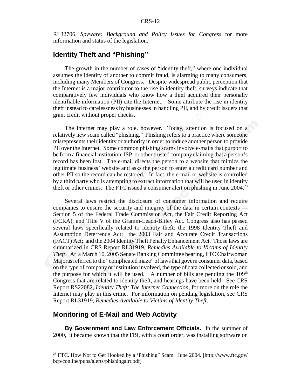RL32706, *Spyware: Background and Policy Issues for Congress* for more information and status of the legislation.

#### **Identity Theft and "Phishing"**

The growth in the number of cases of "identity theft," where one individual assumes the identity of another to commit fraud, is alarming to many consumers, including many Members of Congress. Despite widespread public perception that the Internet is a major contributor to the rise in identity theft, surveys indicate that comparatively few individuals who know how a thief acquired their personally identifiable information (PII) cite the Internet. Some attribute the rise in identity theft instead to carelessness by businesses in handling PII, and by credit issuers that grant credit without proper checks.

The Internet may play a role, however. Today, attention is focused on a relatively new scam called "phishing." Phishing refers to a practice where someone misrepresents their identity or authority in order to induce another person to provide PII over the Internet. Some common phishing scams involve e-mails that purport to be from a financial institution, ISP, or other trusted company claiming that a person's record has been lost. The e-mail directs the person to a website that mimics the legitimate business' website and asks the person to enter a credit card number and other PII so the record can be restored. In fact, the e-mail or website is controlled by a third party who is attempting to extract information that will be used in identity theft or other crimes. The FTC issued a consumer alert on phishing in June  $2004<sup>23</sup>$ 

Several laws restrict the disclosure of consumer information and require companies to ensure the security and integrity of the data in certain contexts — Section 5 of the Federal Trade Commission Act, the Fair Credit Reporting Act (FCRA), and Title V of the Gramm-Leach-Bliley Act. Congress also has passed several laws specifically related to identity theft: the 1998 Identity Theft and Assumption Deterrence Act; the 2003 Fair and Accurate Credit Transactions (FACT) Act; and the 2004 Identity Theft Penalty Enhancement Act. Those laws are summarized in CRS Report RL31919, *Remedies Available to Victims of Identity Theft*. At a March 10, 2005 Senate Banking Committee hearing, FTC Chairwoman Majoras referred to the "complicated maze" of laws that govern consumer data, based on the type of company or institution involved, the type of data collected or sold, and the purpose for which it will be used. A number of bills are pending the  $109<sup>th</sup>$ Congress that are related to identity theft, and hearings have been held. See CRS Report RS22082, *Identity Theft: The Internet Connection*, for more on the role the Internet may play in this crime. For information on pending legislation, see CRS Report RL31919, *Remedies Available to Victims of Identity Theft*.

#### **Monitoring of E-Mail and Web Activity**

**By Government and Law Enforcement Officials.** In the summer of 2000, it became known that the FBI, with a court order, was installing software on

<sup>23</sup> FTC. How Not to Get Hooked by a 'Phishing" Scam. June 2004. [http://www.ftc.gov/ bcp/conline/pubs/alerts/phishingalrt.pdf]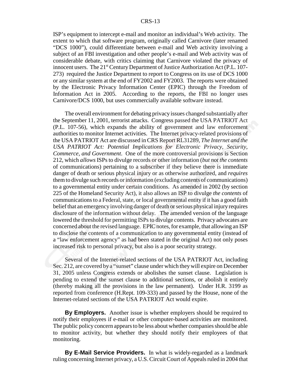ISP's equipment to intercept e-mail and monitor an individual's Web activity. The extent to which that software program, originally called Carnivore (later renamed "DCS 1000"), could differentiate between e-mail and Web activity involving a subject of an FBI investigation and other people's e-mail and Web activity was of considerable debate, with critics claiming that Carnivore violated the privacy of innocent users. The 21<sup>st</sup> Century Department of Justice Authorization Act (P.L. 107-273) required the Justice Department to report to Congress on its use of DCS 1000 or any similar system at the end of FY2002 and FY2003. The reports were obtained by the Electronic Privacy Information Center (EPIC) through the Freedom of Information Act in 2005. According to the reports, the FBI no longer uses Carnivore/DCS 1000, but uses commercially available software instead.

The overall environment for debating privacy issues changed substantially after the September 11, 2001, terrorist attacks. Congress passed the USA PATRIOT Act (P.L. 107-56), which expands the ability of government and law enforcement authorities to monitor Internet activities. The Internet privacy-related provisions of the USA PATRIOT Act are discussed in CRS Report RL31289, *The Internet and the USA PATRIOT Act: Potential Implications for Electronic Privacy, Security, Commerce, and Government*. One of the more controversial provisions is Section 212, which *allows* ISPs to divulge records or other information (*but not the contents* of communications) pertaining to a subscriber if they believe there is immediate danger of death or serious physical injury or as otherwise authorized, and *requires* them to divulge such records or information (excluding contents of communications) to a governmental entity under certain conditions. As amended in 2002 (by section 225 of the Homeland Security Act), it also allows an ISP to divulge *the contents* of communications to a Federal, state, or local governmental entity if it has a good faith belief that an emergency involving danger of death or serious physical injury requires disclosure of the information without delay. The amended version of the language lowered the threshold for permitting ISPs to divulge contents. Privacy advocates are concerned about the revised language. EPIC notes, for example, that allowing an ISP to disclose the contents of a communication to any governmental entity (instead of a "law enforcement agency" as had been stated in the original Act) not only poses increased risk to personal privacy, but also is a poor security strategy.

Several of the Internet-related sections of the USA PATRIOT Act, including Sec. 212, are covered by a "sunset" clause under which they will expire on December 31, 2005 unless Congress extends or abolishes the sunset clause. Legislation is pending to extend the sunset clause to additional sections, or abolish it entirely (thereby making all the provisions in the law permanent). Under H.R. 3199 as reported from conference (H.Rept. 109-333) and passed by the House, none of the Internet-related sections of the USA PATRIOT Act would expire.

**By Employers.** Another issue is whether employers should be required to notify their employees if e-mail or other computer-based activities are monitored. The public policy concern appears to be less about whether companies should be able to monitor activity, but whether they should notify their employees of that monitoring.

**By E-Mail Service Providers.** In what is widely-regarded as a landmark ruling concerning Internet privacy, a U.S. Circuit Court of Appeals ruled in 2004 that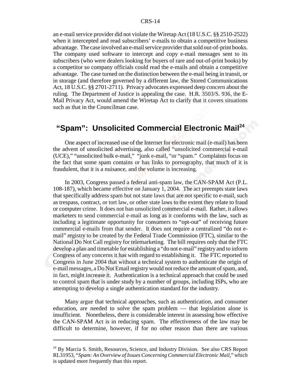an e-mail service provider did not violate the Wiretap Act (18 U.S.C. §§ 2510-2522) when it intercepted and read subscribers' e-mails to obtain a competitive business advantage. The case involved an e-mail service provider that sold out-of-print books. The company used software to intercept and copy e-mail messages sent to its subscribers (who were dealers looking for buyers of rare and out-of-print books) by a competitor so company officials could read the e-mails and obtain a competitive advantage. The case turned on the distinction between the e-mail being in transit, or in storage (and therefore governed by a different law, the Stored Communications Act, 18 U.S.C. §§ 2701-2711). Privacy advocates expressed deep concern about the ruling. The Department of Justice is appealing the case. H.R. 3503/S. 936, the E-Mail Privacy Act, would amend the Wiretap Act to clarify that it covers situations such as that in the Councilman case.

## **"Spam": Unsolicited Commercial Electronic Mail<sup>24</sup>**

One aspect of increased use of the Internet for electronic mail (e-mail) has been the advent of unsolicited advertising, also called "unsolicited commercial e-mail (UCE)," "unsolicited bulk e-mail," "junk e-mail, "or "spam." Complaints focus on the fact that some spam contains or has links to pornography, that much of it is fraudulent, that it is a nuisance, and the volume is increasing.

In 2003, Congress passed a federal anti-spam law, the CAN-SPAM Act (P.L. 108-187), which became effective on January 1, 2004. The act preempts state laws that specifically address spam but not state laws that are not specific to e-mail, such as trespass, contract, or tort law, or other state laws to the extent they relate to fraud or computer crime. It does not ban unsolicited commercial e-mail. Rather, it allows marketers to send commercial e-mail as long as it conforms with the law, such as including a legitimate opportunity for consumers to "opt-out" of receiving future commercial e-mails from that sender. It does not require a centralized "do not email" registry to be created by the Federal Trade Commission (FTC), similar to the National Do Not Call registry for telemarketing. The bill requires only that the FTC develop a plan and timetable for establishing a "do not e-mail" registry and to inform Congress of any concerns it has with regard to establishing it. The FTC reported to Congress in June 2004 that without a technical system to authenticate the origin of e-mail messages, a Do Not Email registry would not reduce the amount of spam, and, in fact, might increase it. Authentication is a technical approach that could be used to control spam that is under study by a number of groups, including ISPs, who are attempting to develop a single authentication standard for the industry.

Many argue that technical approaches, such as authentication, and consumer education, are needed to solve the spam problem — that legislation alone is insufficient. Nonetheless, there is considerable interest in assessing how effective the CAN-SPAM Act is in reducing spam. The effectiveness of the law may be difficult to determine, however, if for no other reason than there are various

<sup>&</sup>lt;sup>24</sup> By Marcia S. Smith, Resources, Science, and Industry Division. See also CRS Report RL31953, "*Spam: An Overview of Issues Concerning Commercial Electronic Mail*," which is updated more frequently than this report.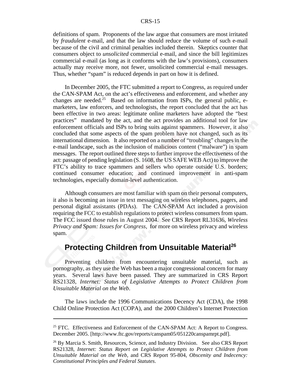#### CRS-15

definitions of spam. Proponents of the law argue that consumers are most irritated by *fraudulent* e-mail, and that the law should reduce the volume of such e-mail because of the civil and criminal penalties included therein. Skeptics counter that consumers object to *unsolicited* commercial e-mail, and since the bill legitimizes commercial e-mail (as long as it conforms with the law's provisions), consumers actually may receive more, not fewer, unsolicited commercial e-mail messages. Thus, whether "spam" is reduced depends in part on how it is defined.

In December 2005, the FTC submitted a report to Congress, as required under the CAN-SPAM Act, on the act's effectiveness and enforcement, and whether any changes are needed.<sup>25</sup> Based on information from ISPs, the general public, emarketers, law enforcers, and technologists, the report concluded that the act has been effective in two areas: legitimate online marketers have adopted the "best practices" mandated by the act, and the act provides an additional tool for law enforcement officials and ISPs to bring suits against spammers. However, it also concluded that some aspects of the spam problem have not changed, such as its international dimension. It also reported on a number of "troubling" changes in the e-mail landscape, such as the inclusion of malicious content ("malware") in spam messages. The report outlined three steps to further improve the effectiveness of the act: passage of pending legislation (S. 1608, the US SAFE WEB Act) to improve the FTC's ability to trace spammers and sellers who operate outside U.S. borders; continued consumer education; and continued improvement in anti-spam technologies, especially domain-level authentication.

Although consumers are most familiar with spam on their personal computers, it also is becoming an issue in text messaging on wireless telephones, pagers, and personal digital assistants (PDAs). The CAN-SPAM Act included a provision requiring the FCC to establish regulations to protect wireless consumers from spam. The FCC issued those rules in August 2004. See CRS Report RL31636, *Wireless Privacy and Spam: Issues for Congress*, for more on wireless privacy and wireless spam.

## **Protecting Children from Unsuitable Material<sup>26</sup>**

Preventing children from encountering unsuitable material, such as pornography, as they use the Web has been a major congressional concern for many years. Several laws have been passed. They are summarized in CRS Report RS21328, *Internet: Status of Legislative Attempts to Protect Children from Unsuitable Material on the Web*.

The laws include the 1996 Communications Decency Act (CDA), the 1998 Child Online Protection Act (COPA), and the 2000 Children's Internet Protection

 $25$  FTC. Effectiveness and Enforcement of the CAN-SPAM Act: A Report to Congress. December 2005. [http://www.ftc.gov/reports/canspam05/051220canspamrpt.pdf].

<sup>&</sup>lt;sup>26</sup> By Marcia S. Smith, Resources, Science, and Industry Division. See also CRS Report RS21328, *Internet: Status Report on Legislative Attempts to Protect Children from Unsuitable Material on the Web*, and CRS Report 95-804, *Obscenity and Indecency: Constitutional Principles and Federal Statutes*.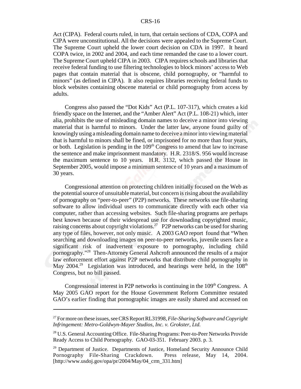Act (CIPA). Federal courts ruled, in turn, that certain sections of CDA, COPA and CIPA were unconstitutional. All the decisions were appealed to the Supreme Court. The Supreme Court upheld the lower court decision on CDA in 1997. It heard COPA twice, in 2002 and 2004, and each time remanded the case to a lower court. The Supreme Court upheld CIPA in 2003. CIPA requires schools and libraries that receive federal funding to use filtering technologies to block minors' access to Web pages that contain material that is obscene, child pornography, or "harmful to minors" (as defined in CIPA). It also requires libraries receiving federal funds to block websites containing obscene material or child pornography from access by adults.

Congress also passed the "Dot Kids" Act (P.L. 107-317), which creates a kid friendly space on the Internet, and the "Amber Alert" Act (P.L. 108-21) which, inter alia, prohibits the use of misleading domain names to deceive a minor into viewing material that is harmful to minors. Under the latter law, anyone found guilty of knowingly using a misleading domain name to deceive a minor into viewing material that is harmful to minors shall be fined, or imprisoned for no more than four years, or both. Legislation is pending in the  $109<sup>th</sup> Congress$  to amend that law to increase the sentence and make imprisonment mandatory. H.R. 2318/S. 956 would increase the maximum sentence to 10 years. H.R. 3132, which passed the House in September 2005, would impose a minimum sentence of 10 years and a maximum of 30 years.

Congressional attention on protecting children initially focused on the Web as the potential source of unsuitable material, but concern is rising about the availability of pornography on "peer-to-peer" (P2P) networks. These networks use file-sharing software to allow individual users to communicate directly with each other via computer, rather than accessing websites. Such file-sharing programs are perhaps best known because of their widespread use for downloading copyrighted music, raising concerns about copyright violations.<sup>27</sup> P2P networks can be used for sharing any type of files, however, not only music. A 2003 GAO report found that "When searching and downloading images on peer-to-peer networks, juvenile users face a significant risk of inadvertent exposure to pornography, including child pornography."28 Then-Attorney General Ashcroft announced the results of a major law enforcement effort against P2P networks that distribute child pornography in May  $2004.^{29}$  Legislation was introduced, and hearings were held, in the  $108<sup>th</sup>$ Congress, but no bill passed.

Congressional interest in P2P networks is continuing in the  $109<sup>th</sup>$  Congress. A May 2005 GAO report for the House Government Reform Committee restated GAO's earlier finding that pornographic images are easily shared and accessed on

<sup>27</sup> For more on these issues, see CRS Report RL31998, *File-Sharing Software and Copyright Infringement: Metro-Goldwyn-Mayer Studios, Inc. v. Grokster, Ltd.*

<sup>&</sup>lt;sup>28</sup> U.S. General Accounting Office. File-Sharing Programs: Peer-to-Peer Networks Provide Ready Access to Child Pornography. GAO-03-351. February 2003. p. 3.

<sup>&</sup>lt;sup>29</sup> Department of Justice. Departments of Justice, Homeland Security Announce Child Pornography File-Sharing Crackdown. Press release, May 14, 2004. [http://www.usdoj.gov/opa/pr/2004/May/04\_crm\_331.htm]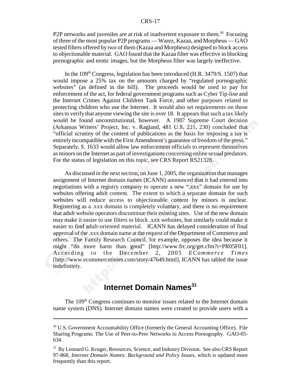P2P networks and juveniles are at risk of inadvertent exposure to them.<sup>30</sup> Focusing of three of the most popular P2P programs — Warez, Kazaa, and Morpheus — GAO tested filters offered by two of them (Kazaa and Morpheus) designed to block access to objectionable material. GAO found that the Kazaa filter was effective in blocking pornographic and erotic images, but the Morpheus filter was largely ineffective.

In the  $109<sup>th</sup>$  Congress, legislation has been introduced (H.R. 3479/S. 1507) that would impose a 25% tax on the amounts charged by "regulated pornographic websites" (as defined in the bill). The proceeds would be used to pay for enforcement of the act, for federal government programs such as Cyber Tip-line and the Internet Crimes Against Children Task Force, and other purposes related to protecting children who use the Internet. It would also set requirements on those sites to verify that anyone viewing the site is over 18. It appears that such a tax likely would be found unconstitutional, however. A 1987 Supreme Court decision (Arkansas Writers' Project, Inc. v. Ragland, 481 U.S. 221, 230) concluded that "official scrutiny of the content of publications as the basis for imposing a tax is entirely incompatible with the First Amendment's guarantee of freedom of the press." Separately, S. 1633 would allow law enforcement officials to represent themselves as minors on the Internet as part of investigations concerning online sexual predators. For the status of legislation on this topic, see CRS Report RS21328.

As discussed in the next section, on June 1, 2005, the organization that manages assignment of Internet domain names (ICANN) announced that it had entered into negotiations with a registry company to operate a new ".xxx" domain for use by websites offering adult content. The extent to which a separate domain for such websites will reduce access to objectionable content by minors is unclear. Registering as a .xxx domain is completely voluntary, and there is no requirement that adult website operators discontinue their existing sites. Use of the new domain may make it easier to use filters to block .xxx websites, but similarly could make it easier to find adult-oriented material. ICANN has delayed consideration of final approval of the .xxx domain name at the request of the Department of Commerce and others. The Family Research Council, for example, opposes the idea because it might "do more harm than good" [http://www.frc.org/get.cfm?i=PR05F01]. According to the December 2, 2005 *ECommerce Times* [http://www.ecommercetimes.com/story/47649.html], ICANN has tabled the issue indefinitely.

## **Internet Domain Names**<sup>31</sup>

The 109<sup>th</sup> Congress continues to monitor issues related to the Internet domain name system (DNS). Internet domain names were created to provide users with a

<sup>&</sup>lt;sup>30</sup> U.S. Government Accountability Office (formerly the General Accounting Office). File Sharing Programs: The Use of Peer-to-Peer Networks to Access Pornography. GAO-05- 634.

<sup>&</sup>lt;sup>31</sup> By Lennard G. Kruger, Resources, Science, and Industry Division. See also CRS Report 97-868, *Internet Domain Names: Background and Policy Issues*, which is updated more frequently than this report.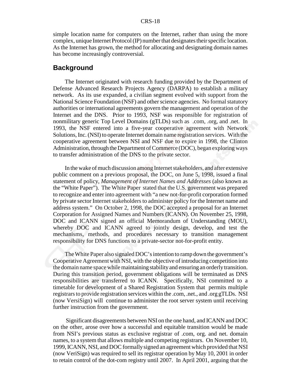simple location name for computers on the Internet, rather than using the more complex, unique Internet Protocol (IP) number that designates their specific location. As the Internet has grown, the method for allocating and designating domain names has become increasingly controversial.

#### **Background**

The Internet originated with research funding provided by the Department of Defense Advanced Research Projects Agency (DARPA) to establish a military network. As its use expanded, a civilian segment evolved with support from the National Science Foundation (NSF) and other science agencies. No formal statutory authorities or international agreements govern the management and operation of the Internet and the DNS. Prior to 1993, NSF was responsible for registration of nonmilitary generic Top Level Domains (gTLDs) such as .com, .org, and .net. In 1993, the NSF entered into a five-year cooperative agreement with Network Solutions, Inc. (NSI) to operate Internet domain name registration services. With the cooperative agreement between NSI and NSF due to expire in 1998, the Clinton Administration, through the Department of Commerce (DOC), began exploring ways to transfer administration of the DNS to the private sector.

In the wake of much discussion among Internet stakeholders, and after extensive public comment on a previous proposal, the DOC, on June 5, 1998, issued a final statement of policy, *Management of Internet Names and Addresses* (also known as the "White Paper"). The White Paper stated that the U.S. government was prepared to recognize and enter into agreement with "a new not-for-profit corporation formed by private sector Internet stakeholders to administer policy for the Internet name and address system." On October 2, 1998, the DOC accepted a proposal for an Internet Corporation for Assigned Names and Numbers (ICANN). On November 25, 1998, DOC and ICANN signed an official Memorandum of Understanding (MOU), whereby DOC and ICANN agreed to jointly design, develop, and test the mechanisms, methods, and procedures necessary to transition management responsibility for DNS functions to a private-sector not-for-profit entity.

The White Paper also signaled DOC's intention to ramp down the government's Cooperative Agreement with NSI, with the objective of introducing competition into the domain name space while maintaining stability and ensuring an orderly transition. During this transition period, government obligations will be terminated as DNS responsibilities are transferred to ICANN. Specifically, NSI committed to a timetable for development of a Shared Registration System that permits multiple registrars to provide registration services within the .com, .net., and .org gTLDs. NSI (now VersiSign) will continue to administer the root server system until receiving further instruction from the government.

 Significant disagreements between NSI on the one hand, and ICANN and DOC on the other, arose over how a successful and equitable transition would be made from NSI's previous status as exclusive registrar of .com, org. and net. domain names, to a system that allows multiple and competing registrars. On November 10, 1999, ICANN, NSI, and DOC formally signed an agreement which provided that NSI (now VeriSign) was required to sell its registrar operation by May 10, 2001 in order to retain control of the dot-com registry until 2007. In April 2001, arguing that the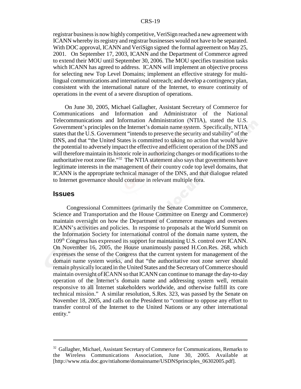registrar business is now highly competitive, VeriSign reached a new agreement with ICANN whereby its registry and registrar businesses would not have to be separated. With DOC approval, ICANN and VeriSign signed the formal agreement on May 25, 2001. On September 17, 2003, ICANN and the Department of Commerce agreed to extend their MOU until September 30, 2006. The MOU specifies transition tasks which ICANN has agreed to address. ICANN will implement an objective process for selecting new Top Level Domains; implement an effective strategy for multilingual communications and international outreach; and develop a contingency plan, consistent with the international nature of the Internet, to ensure continuity of operations in the event of a severe disruption of operations.

On June 30, 2005, Michael Gallagher, Assistant Secretary of Commerce for Communications and Information and Administrator of the National Telecommunications and Information Administration (NTIA), stated the U.S. Government's principles on the Internet's domain name system. Specifically, NTIA states that the U.S. Government "intends to preserve the security and stability" of the DNS, and that "the United States is committed to taking no action that would have the potential to adversely impact the effective and efficient operation of the DNS and will therefore maintain its historic role in authorizing changes or modifications to the authoritative root zone file."32 The NTIA statement also says that governments have legitimate interests in the management of their country code top level domains, that ICANN is the appropriate technical manager of the DNS, and that dialogue related to Internet governance should continue in relevant multiple fora.

#### **Issues**

 Congressional Committees (primarily the Senate Committee on Commerce, Science and Transportation and the House Committee on Energy and Commerce) maintain oversight on how the Department of Commerce manages and oversees ICANN's activities and policies. In response to proposals at the World Summit on the Information Society for international control of the domain name system, the 109th Congress has expressed its support for maintaining U.S. control over ICANN. On November 16, 2005, the House unanimously passed H.Con.Res. 268, which expresses the sense of the Congress that the current system for management of the domain name system works, and that "the authoritative root zone server should remain physically located in the United States and the Secretary of Commerce should maintain oversight of ICANN so that ICANN can continue to manage the day-to-day operation of the Internet's domain name and addressing system well, remain responsive to all Internet stakeholders worldwide, and otherwise fulfill its core technical mission." A similar resolution, S.Res. 323, was passed by the Senate on November 18, 2005, and calls on the President to "continue to oppose any effort to transfer control of the Internet to the United Nations or any other international entity."

<sup>&</sup>lt;sup>32</sup> Gallagher, Michael, Assistant Secretary of Commerce for Communications, Remarks to the Wireless Communications Association, June 30, 2005. Available at [http://www.ntia.doc.gov/ntiahome/domainname/USDNSprinciples\_06302005.pdf].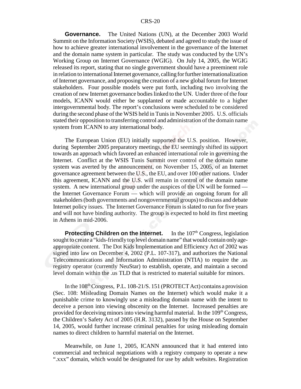**Governance.** The United Nations (UN), at the December 2003 World Summit on the Information Society (WSIS), debated and agreed to study the issue of how to achieve greater international involvement in the governance of the Internet and the domain name system in particular. The study was conducted by the UN's Working Group on Internet Governance (WGIG). On July 14, 2005, the WGIG released its report, stating that no single government should have a preeminent role in relation to international Internet governance, calling for further internationalization of Internet governance, and proposing the creation of a new global forum for Internet stakeholders. Four possible models were put forth, including two involving the creation of new Internet governance bodies linked to the UN. Under three of the four models, ICANN would either be supplanted or made accountable to a higher intergovernmental body. The report's conclusions were scheduled to be considered during the second phase of the WSIS held in Tunis in November 2005. U.S. officials stated their opposition to transferring control and administration of the domain name system from ICANN to any international body.

The European Union (EU) initially supported the U.S. position. However, during September 2005 preparatory meetings, the EU seemingly shifted its support towards an approach which favored an enhanced international role in governing the Internet. Conflict at the WSIS Tunis Summit over control of the domain name system was averted by the announcement, on November 15, 2005, of an Internet governance agreement between the U.S., the EU, and over 100 other nations. Under this agreement, ICANN and the U.S. will remain in control of the domain name system. A new international group under the auspices of the UN will be formed the Internet Governance Forum — which will provide an ongoing forum for all stakeholders (both governments and nongovernmental groups) to discuss and debate Internet policy issues. The Internet Governance Forum is slated to run for five years and will not have binding authority. The group is expected to hold its first meeting in Athens in mid-2006.

**Protecting Children on the Internet.** In the 107<sup>th</sup> Congress, legislation sought to create a "kids-friendly top level domain name" that would contain only ageappropriate content. The Dot Kids Implementation and Efficiency Act of 2002 was signed into law on December 4, 2002 (P.L. 107-317), and authorizes the National Telecommunications and Information Administration (NTIA) to require the .us registry operator (currently NeuStar) to establish, operate, and maintain a second level domain within the .us TLD that is restricted to material suitable for minors.

In the  $108<sup>th</sup> Congress$ , P.L.  $108-21/S. 151$  (PROTECT Act) contains a provision (Sec. 108: Misleading Domain Names on the Internet) which would make it a punishable crime to knowingly use a misleading domain name with the intent to deceive a person into viewing obscenity on the Internet. Increased penalties are provided for deceiving minors into viewing harmful material. In the  $109<sup>th</sup>$  Congress, the Children's Safety Act of 2005 (H.R. 3132), passed by the House on September 14, 2005, would further increase criminal penalties for using misleading domain names to direct children to harmful material on the Internet.

Meanwhile, on June 1, 2005, ICANN announced that it had entered into commercial and technical negotiations with a registry company to operate a new ".xxx" domain, which would be designated for use by adult websites. Registration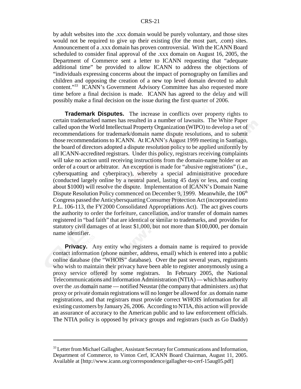by adult websites into the .xxx domain would be purely voluntary, and those sites would not be required to give up their existing (for the most part, .com) sites. Announcement of a .xxx domain has proven controversial. With the ICANN Board scheduled to consider final approval of the .xxx domain on August 16, 2005, the Department of Commerce sent a letter to ICANN requesting that "adequate additional time" be provided to allow ICANN to address the objections of "individuals expressing concerns about the impact of pornography on families and children and opposing the creation of a new top level domain devoted to adult content."33 ICANN's Government Advisory Committee has also requested more time before a final decision is made. ICANN has agreed to the delay and will possibly make a final decision on the issue during the first quarter of 2006.

**Trademark Disputes.** The increase in conflicts over property rights to certain trademarked names has resulted in a number of lawsuits. The White Paper called upon the World Intellectual Property Organization (WIPO) to develop a set of recommendations for trademark/domain name dispute resolutions, and to submit those recommendations to ICANN. At ICANN's August 1999 meeting in Santiago, the board of directors adopted a dispute resolution policy to be applied uniformly by all ICANN-accredited registrars. Under this policy, registrars receiving complaints will take no action until receiving instructions from the domain-name holder or an order of a court or arbitrator. An exception is made for "abusive registrations" (i.e., cybersquatting and cyberpiracy), whereby a special administrative procedure (conducted largely online by a neutral panel, lasting 45 days or less, and costing about \$1000) will resolve the dispute. Implementation of ICANN's Domain Name Dispute Resolution Policy commenced on December 9, 1999. Meanwhile, the  $106<sup>th</sup>$ Congress passed the Anticybersquatting Consumer Protection Act (incorporated into P.L. 106-113, the FY2000 Consolidated Appropriations Act). The act gives courts the authority to order the forfeiture, cancellation, and/or transfer of domain names registered in "bad faith" that are identical or similar to trademarks, and provides for statutory civil damages of at least \$1,000, but not more than \$100,000, per domain name identifier.

**Privacy.** Any entity who registers a domain name is required to provide contact information (phone number, address, email) which is entered into a public online database (the "WHOIS" database). Over the past several years, registrants who wish to maintain their privacy have been able to register anonymously using a proxy service offered by some registrars. In February 2005, the National Telecommunications and Information Administration (NTIA) — which has authority over the .us domain name — notified Neustar (the company that administers .us) that proxy or private domain registrations will no longer be allowed for .us domain name registrations, and that registrars must provide correct WHOIS information for all existing customers by January 26, 2006. According to NTIA, this action will provide an assurance of accuracy to the American public and to law enforcement officials. The NTIA policy is opposed by privacy groups and registrars (such as Go Daddy)

<sup>&</sup>lt;sup>33</sup> Letter from Michael Gallagher, Assistant Secretary for Communications and Information, Department of Commerce, to Vinton Cerf, ICANN Board Chairman, August 11, 2005. Available at [http://www.icann.org/correspondence/gallagher-to-cerf-15aug05.pdf]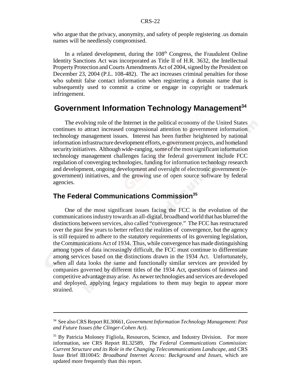who argue that the privacy, anonymity, and safety of people registering .us domain names will be needlessly compromised.

In a related development, during the  $108<sup>th</sup>$  Congress, the Fraudulent Online Identity Sanctions Act was incorporated as Title II of H.R. 3632, the Intellectual Property Protection and Courts Amendments Act of 2004, signed by the President on December 23, 2004 (P.L. 108-482). The act increases criminal penalties for those who submit false contact information when registering a domain name that is subsequently used to commit a crime or engage in copyright or trademark infringement.

## **Government Information Technology Management34**

The evolving role of the Internet in the political economy of the United States continues to attract increased congressional attention to government information technology management issues. Interest has been further heightened by national information infrastructure development efforts, e-government projects, and homeland security initiatives. Although wide-ranging, some of the most significant information technology management challenges facing the federal government include FCC regulation of converging technologies, funding for information technology research and development, ongoing development and oversight of electronic government (egovernment) initiatives, and the growing use of open source software by federal agencies.

## **The Federal Communications Commission35**

One of the most significant issues facing the FCC is the evolution of the communications industry towards an all-digital, broadband world that has blurred the distinctions between services, also called "convergence." The FCC has restructured over the past few years to better reflect the realities of convergence, but the agency is still required to adhere to the statutory requirements of its governing legislation, the Communications Act of 1934. Thus, while convergence has made distinguishing among types of data increasingly difficult, the FCC must continue to differentiate among services based on the distinctions drawn in the 1934 Act. Unfortunately, when all data looks the same and functionally similar services are provided by companies governed by different titles of the 1934 Act, questions of fairness and competitive advantage may arise. As newer technologies and services are developed and deployed, applying legacy regulations to them may begin to appear more strained.

<sup>34</sup> See also CRS Report RL30661, *Government Information Technology Management: Past and Future Issues (the Clinger-Cohen Act)*.

<sup>&</sup>lt;sup>35</sup> By Patricia Moloney Figliola, Resources, Science, and Industry Division. For more information, see CRS Report RL32589, *The Federal Communications Commission: Current Structure and its Role in the Changing Telecommunications Landscape*, and CRS Issue Brief IB10045: *Broadband Internet Access: Background and Issues*, which are updated more frequently than this report.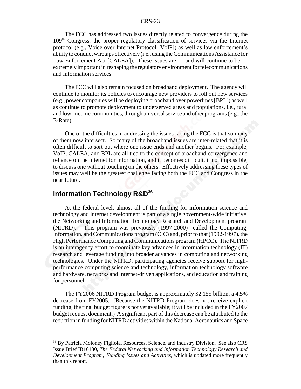#### CRS-23

The FCC has addressed two issues directly related to convergence during the 109th Congress: the proper regulatory classification of services via the Internet protocol (e.g., Voice over Internet Protocol [VoIP]) as well as law enforcement's ability to conduct wiretaps effectively (i.e., using the Communications Assistance for Law Enforcement Act [CALEA]). These issues are — and will continue to be extremely important in reshaping the regulatory environment for telecommunications and information services.

The FCC will also remain focused on broadband deployment. The agency will continue to monitor its policies to encourage new providers to roll out new services (e.g., power companies will be deploying broadband over powerlines [BPL]) as well as continue to promote deployment to underserved areas and populations, i.e., rural and low-income communities, through universal service and other programs (e.g., the E-Rate).

One of the difficulties in addressing the issues facing the FCC is that so many of them now intersect. So many of the broadband issues are inter-related that it is often difficult to sort out where one issue ends and another begins. For example, VoIP, CALEA, and BPL are all tied to the concept of broadband convergence and reliance on the Internet for information, and it becomes difficult, if not impossible, to discuss one without touching on the others. Effectively addressing these types of issues may well be the greatest challenge facing both the FCC and Congress in the near future.

#### **Information Technology R&D<sup>36</sup>**

At the federal level, almost all of the funding for information science and technology and Internet development is part of a single government-wide initiative, the Networking and Information Technology Research and Development program (NITRD). This program was previously (1997-2000) called the Computing, Information, and Communications program (CIC) and, prior to that (1992-1997), the High Performance Computing and Communications program (HPCC). The NITRD is an interagency effort to coordinate key advances in information technology (IT) research and leverage funding into broader advances in computing and networking technologies. Under the NITRD, participating agencies receive support for highperformance computing science and technology, information technology software and hardware, networks and Internet-driven applications, and education and training for personnel.

The FY2006 NITRD Program budget is approximately \$2.155 billion, a 4.5% decrease from FY2005. (Because the NITRD Program does not receive explicit funding, the final budget figure is not yet available; it will be included in the FY2007 budget request document.) A significant part of this decrease can be attributed to the reduction in funding for NITRD activities within the National Aeronautics and Space

<sup>&</sup>lt;sup>36</sup> By Patricia Moloney Figliola, Resources, Science, and Industry Division. See also CRS Issue Brief IB10130, *The Federal Networking and Information Technology Research and Development Program; Funding Issues and Activities*, which is updated more frequently than this report.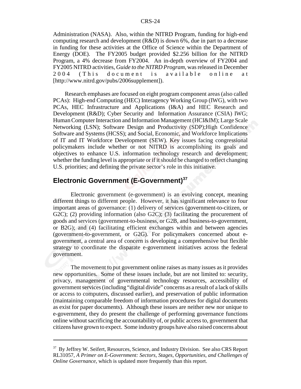Administration (NASA). Also, within the NITRD Program, funding for high-end computing research and development (R&D) is down 6%, due in part to a decrease in funding for these activities at the Office of Science within the Department of Energy (DOE). The FY2005 budget provided \$2.256 billion for the NITRD Program, a 4% decrease from FY2004. An in-depth overview of FY2004 and FY2005 NITRD activities, *Guide to the NITRD Program*, was released in December 2004 (This document is available online at [http://www.nitrd.gov/pubs/2006supplement]).

Research emphases are focused on eight program component areas (also called PCAs): High-end Computing (HEC) Interagency Working Group (IWG), with two PCAs, HEC Infrastructure and Applications (I&A) and HEC Research and Development (R&D); Cyber Security and Information Assurance (CSIA) IWG; Human Computer Interaction and Information Management (HCI&IM); Large Scale Networking (LSN); Software Design and Productivity (SDP);High Confidence Software and Systems (HCSS); and Social, Economic, and Workforce Implications of IT and IT Workforce Development (SEW). Key issues facing congressional policymakers include whether or not NITRD is accomplishing its goals and objectives to enhance U.S. information technology research and development; whether the funding level is appropriate or if it should be changed to reflect changing U.S. priorities; and defining the private sector's role in this initiative.

## **Electronic Government (E-Government)**<sup>37</sup>

Electronic government (e-government) is an evolving concept, meaning different things to different people. However, it has significant relevance to four important areas of governance: (1) delivery of services (government-to-citizen, or G2C); (2) providing information (also G2C); (3) facilitating the procurement of goods and services (government-to-business, or G2B, and business-to-government, or B2G); and (4) facilitating efficient exchanges within and between agencies (government-to-government, or G2G). For policymakers concerned about egovernment, a central area of concern is developing a comprehensive but flexible strategy to coordinate the disparate e-government initiatives across the federal government.

The movement to put government online raises as many issues as it provides new opportunities. Some of these issues include, but are not limited to: security, privacy, management of governmental technology resources, accessibility of government services (including "digital divide" concerns as a result of a lack of skills or access to computers, discussed earlier), and preservation of public information (maintaining comparable freedom of information procedures for digital documents as exist for paper documents). Although these issues are neither new nor unique to e-government, they do present the challenge of performing governance functions online without sacrificing the accountability of, or public access to, government that citizens have grown to expect. Some industry groups have also raised concerns about

<sup>&</sup>lt;sup>37</sup> By Jeffrey W. Seifert, Resources, Science, and Industry Division. See also CRS Report RL31057, *A Primer on E-Government: Sectors, Stages, Opportunities, and Challenges of Online Governance*, which is updated more frequently than this report.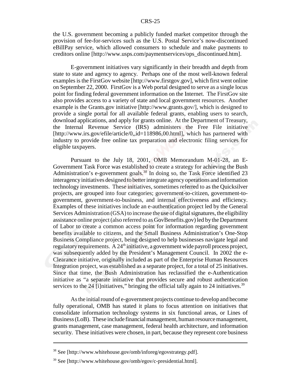the U.S. government becoming a publicly funded market competitor through the provision of fee-for-services such as the U.S. Postal Service's now-discontinued eBillPay service, which allowed consumers to schedule and make payments to creditors online [http://www.usps.com/paymentservices/ops\_discontinued.htm].

E-government initiatives vary significantly in their breadth and depth from state to state and agency to agency. Perhaps one of the most well-known federal examples is the FirstGov website [http://www.firstgov.gov], which first went online on September 22, 2000. FirstGov is a Web portal designed to serve as a single locus point for finding federal government information on the Internet. The FirstGov site also provides access to a variety of state and local government resources. Another example is the Grants.gov initiative [http://www.grants.gov/], which is designed to provide a single portal for all available federal grants, enabling users to search, download applications, and apply for grants online. At the Department of Treasury, the Internal Revenue Service (IRS) administers the Free File initiative [http://www.irs.gov/efile/article/0,,id=118986,00.html], which has partnered with industry to provide free online tax preparation and electronic filing services for eligible taxpayers.

Pursuant to the July 18, 2001, OMB Memorandum M-01-28, an E-Government Task Force was established to create a strategy for achieving the Bush Administration's e-government goals.<sup>38</sup> In doing so, the Task Force identified 23 interagency initiatives designed to better integrate agency operations and information technology investments. These initiatives, sometimes referred to as the Quicksilver projects, are grouped into four categories; government-to-citizen, government-togovernment, government-to-business, and internal effectiveness and efficiency. Examples of these initiatives include an e-authentication project led by the General Services Administration (GSA) to increase the use of digital signatures, the eligibility assistance online project (also referred to as GovBenefits.gov) led by the Department of Labor to create a common access point for information regarding government benefits available to citizens, and the Small Business Administration's One-Stop Business Compliance project, being designed to help businesses navigate legal and regulatory requirements. A  $24<sup>th</sup>$  initiative, a government wide payroll process project, was subsequently added by the President's Management Council. In 2002 the e-Clearance initiative, originally included as part of the Enterprise Human Resources Integration project, was established as a separate project, for a total of 25 initiatives. Since that time, the Bush Administration has reclassified the e-Authentication initiative as "a separate initiative that provides secure and robust authentication services to the 24 [i]nitiatives," bringing the official tally again to 24 initiatives.<sup>39</sup>

As the initial round of e-government projects continue to develop and become fully operational, OMB has stated it plans to focus attention on initiatives that consolidate information technology systems in six functional areas, or Lines of Business (LoB). These include financial management, human resource management, grants management, case management, federal health architecture, and information security. These initiatives were chosen, in part, because they represent core business

<sup>38</sup> See [http://www.whitehouse.gov/omb/inforeg/egovstrategy.pdf].

 $39$  See [http://www.whitehouse.gov/omb/egov/c-presidential.html].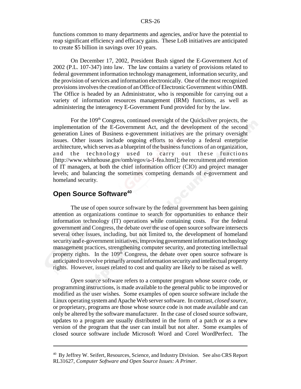functions common to many departments and agencies, and/or have the potential to reap significant efficiency and efficacy gains. These LoB initiatives are anticipated to create \$5 billion in savings over 10 years.

 On December 17, 2002, President Bush signed the E-Government Act of 2002 (P.L. 107-347) into law. The law contains a variety of provisions related to federal government information technology management, information security, and the provision of services and information electronically. One of the most recognized provisions involves the creation of an Office of Electronic Government within OMB. The Office is headed by an Administrator, who is responsible for carrying out a variety of information resources management (IRM) functions, as well as administering the interagency E-Government Fund provided for by the law.

For the 109<sup>th</sup> Congress, continued oversight of the Quicksilver projects, the implementation of the E-Government Act, and the development of the second generation Lines of Business e-government initiatives are the primary oversight issues. Other issues include ongoing efforts to develop a federal enterprise architecture, which serves as a blueprint of the business functions of an organization, and the technology used to carry out these functions [http://www.whitehouse.gov/omb/egov/a-1-fea.html]; the recruitment and retention of IT managers, at both the chief information officer (CIO) and project manager levels; and balancing the sometimes competing demands of e-government and homeland security.

## **Open Source Software<sup>40</sup>**

The use of open source software by the federal government has been gaining attention as organizations continue to search for opportunities to enhance their information technology (IT) operations while containing costs. For the federal government and Congress, the debate over the use of open source software intersects several other issues, including, but not limited to, the development of homeland security and e-government initiatives, improving government information technology management practices, strengthening computer security, and protecting intellectual property rights. In the 109<sup>th</sup> Congress, the debate over open source software is anticipated to revolve primarily around information security and intellectual property rights. However, issues related to cost and quality are likely to be raised as well.

*Open source* software refers to a computer program whose source code, or programming instructions, is made available to the general public to be improved or modified as the user wishes. Some examples of open source software include the Linux operating system and Apache Web server software. In contrast, *closed source*, or proprietary, programs are those whose source code is not made available and can only be altered by the software manufacturer. In the case of closed source software, updates to a program are usually distributed in the form of a patch or as a new version of the program that the user can install but not alter. Some examples of closed source software include Microsoft Word and Corel WordPerfect. The

<sup>&</sup>lt;sup>40</sup> By Jeffrey W. Seifert, Resources, Science, and Industry Division. See also CRS Report RL31627, *Computer Software and Open Source Issues: A Primer.*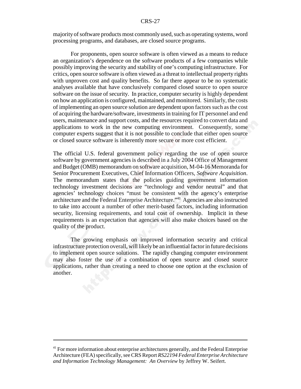#### CRS-27

majority of software products most commonly used, such as operating systems, word processing programs, and databases, are closed source programs.

 For proponents, open source software is often viewed as a means to reduce an organization's dependence on the software products of a few companies while possibly improving the security and stability of one's computing infrastructure. For critics, open source software is often viewed as a threat to intellectual property rights with unproven cost and quality benefits. So far there appear to be no systematic analyses available that have conclusively compared closed source to open source software on the issue of security. In practice, computer security is highly dependent on how an application is configured, maintained, and monitored. Similarly, the costs of implementing an open source solution are dependent upon factors such as the cost of acquiring the hardware/software, investments in training for IT personnel and end users, maintenance and support costs, and the resources required to convert data and applications to work in the new computing environment. Consequently, some computer experts suggest that it is not possible to conclude that either open source or closed source software is inherently more secure or more cost efficient.

The official U.S. federal government policy regarding the use of open source software by government agencies is described in a July 2004 Office of Management and Budget (OMB) memorandum on software acquisition, M-04-16 Memoranda for Senior Procurement Executives, Chief Information Officers, *Software Acquisition*. The memorandum states that the policies guiding government information technology investment decisions are "technology and vendor neutral" and that agencies' technology choices "must be consistent with the agency's enterprise architecture and the Federal Enterprise Architecture."41 Agencies are also instructed to take into account a number of other merit-based factors, including information security, licensing requirements, and total cost of ownership. Implicit in these requirements is an expectation that agencies will also make choices based on the quality of the product.

The growing emphasis on improved information security and critical infrastructure protection overall, will likely be an influential factor in future decisions to implement open source solutions. The rapidly changing computer environment may also foster the use of a combination of open source and closed source applications, rather than creating a need to choose one option at the exclusion of another.

 $41$  For more information about enterprise architectures generally, and the Federal Enterprise Architecture (FEA) specifically, see CRS Report *RS22194 Federal Enterprise Architecture and Information Technology Management: An Overview* by Jeffrey W. Seifert.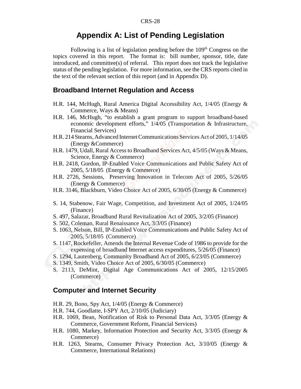## **Appendix A: List of Pending Legislation**

Following is a list of legislation pending before the  $109<sup>th</sup>$  Congress on the topics covered in this report. The format is: bill number, sponsor, title, date  $introduced$ , and committee $(s)$  of referral. This report does not track the legislative status of the pending legislation. For more information, see the CRS reports cited in the text of the relevant section of this report (and in Appendix D).

#### **Broadband Internet Regulation and Access**

- H.R. 144, McHugh, Rural America Digital Accessibility Act, 1/4/05 (Energy & Commerce, Ways & Means)
- H.R. 146, McHugh, "to establish a grant program to support broadband-based economic development efforts," 1/4/05 (Transportation & Infrastructure, Financial Services)
- H.R. 214 Stearns, Advanced Internet Communications Services Act of 2005, 1/14/05 (Energy &Commerce)
- H.R. 1479, Udall, Rural Access to Broadband Services Act, 4/5/05 (Ways & Means, Science, Energy & Commerce)
- H.R. 2418, Gordon, IP-Enabled Voice Communications and Public Safety Act of 2005, 5/18/05 (Energy & Commerce)
- H.R. 2726, Sessions, Preserving Innovation in Telecom Act of 2005, 5/26/05 (Energy & Commerce)
- H.R. 3146, Blackburn, Video Choice Act of 2005, 6/30/05 (Energy & Commerce)
- S. 14, Stabenow, Fair Wage, Competition, and Investment Act of 2005, 1/24/05 (Finance)
- S. 497, Salazar, Broadband Rural Revitalization Act of 2005, 3/2/05 (Finance)
- S. 502, Coleman, Rural Renaissance Act, 3/3/05 (Finance)
- S. 1063, Nelson, Bill, IP-Enabled Voice Communications and Public Safety Act of 2005, 5/18/05 (Commerce)
- S. 1147, Rockefeller, Amends the Internal Revenue Code of 1986 to provide for the expensing of broadband Internet access expenditures, 5/26/05 (Finance)
- S. 1294, Lautenberg, Community Broadband Act of 2005, 6/23/05 (Commerce)
- S. 1349, Smith, Video Choice Act of 2005, 6/30/05 (Commerce)
- S. 2113, DeMint, Digital Age Communications Act of 2005, 12/15/2005 (Commerce)

#### **Computer and Internet Security**

- H.R. 29, Bono, Spy Act, 1/4/05 (Energy & Commerce)
- H.R. 744, Goodlatte, I-SPY Act, 2/10/05 (Judiciary)
- H.R. 1069, Bean, Notification of Risk to Personal Data Act, 3/3/05 (Energy & Commerce, Government Reform, Financial Services)
- H.R. 1080, Markey, Information Protection and Security Act, 3/3/05 (Energy & Commerce)
- H.R. 1263, Stearns, Consumer Privacy Protection Act, 3/10/05 (Energy & Commerce, International Relations)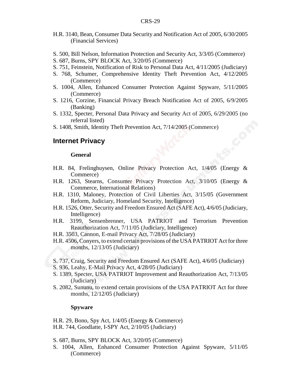- H.R. 3140, Bean, Consumer Data Security and Notification Act of 2005, 6/30/2005 (Financial Services)
- S. 500, Bill Nelson, Information Protection and Security Act, 3/3/05 (Commerce)
- S. 687, Burns, SPY BLOCK Act, 3/20/05 (Commerce)
- S. 751, Feinstein, Notification of Risk to Personal Data Act, 4/11/2005 (Judiciary)
- S. 768, Schumer, Comprehensive Identity Theft Prevention Act, 4/12/2005 (Commerce)
- S. 1004, Allen, Enhanced Consumer Protection Against Spyware, 5/11/2005 (Commerce)
- S. 1216, Corzine, Financial Privacy Breach Notification Act of 2005, 6/9/2005 (Banking)
- S. 1332, Specter, Personal Data Privacy and Security Act of 2005, 6/29/2005 (no referral listed)
- S. 1408, Smith, Identity Theft Prevention Act, 7/14/2005 (Commerce)

#### **Internet Privacy**

#### **General**

- H.R. 84, Frelinghuysen, Online Privacy Protection Act, 1/4/05 (Energy & Commerce)
- H.R. 1263, Stearns, Consumer Privacy Protection Act, 3/10/05 (Energy & Commerce, International Relations)
- H.R. 1310, Maloney, Protection of Civil Liberties Act, 3/15/05 (Government Reform, Judiciary, Homeland Security, Intelligence)
- H.R. 1526, Otter, Security and Freedom Ensured Act (SAFE Act), 4/6/05 (Judiciary, Intelligence)
- H.R. 3199, Sensenbrenner, USA PATRIOT and Terrorism Prevention Reauthorization Act, 7/11/05 (Judiciary, Intelligence)
- H.R. 3503, Cannon, E-mail Privacy Act, 7/28/05 (Judiciary)
- H.R. 4506, Conyers, to extend certain provisions of the USA PATRIOT Act for three months, 12/13/05 (Judiciary)
- S. 737, Craig, Security and Freedom Ensured Act (SAFE Act), 4/6/05 (Judiciary)
- S. 936, Leahy, E-Mail Privacy Act, 4/28/05 (Judiciary)
- S. 1389, Specter, USA PATRIOT Improvement and Reauthorization Act, 7/13/05 (Judiciary)
- S. 2082, Sununu, to extend certain provisions of the USA PATRIOT Act for three months, 12/12/05 (Judiciary)

#### **Spyware**

- H.R. 29, Bono, Spy Act, 1/4/05 (Energy & Commerce)
- H.R. 744, Goodlatte, I-SPY Act, 2/10/05 (Judiciary)
- S. 687, Burns, SPY BLOCK Act, 3/20/05 (Commerce)
- S. 1004, Allen, Enhanced Consumer Protection Against Spyware, 5/11/05 (Commerce)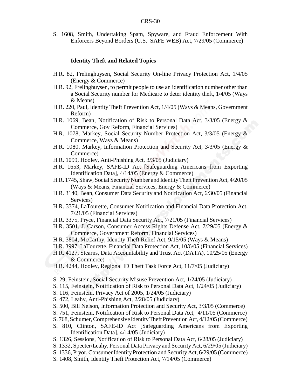S. 1608, Smith, Undertaking Spam, Spyware, and Fraud Enforcement With Enforcers Beyond Borders (U.S. SAFE WEB) Act, 7/29/05 (Commerce)

#### **Identity Theft and Related Topics**

- H.R. 82, Frelinghuysen, Social Security On-line Privacy Protection Act, 1/4/05 (Energy & Commerce)
- H.R. 92, Frelinghuysen, to permit people to use an identification number other than a Social Security number for Medicare to deter identity theft, 1/4/05 (Ways & Means)
- H.R. 220, Paul, Identity Theft Prevention Act, 1/4/05 (Ways & Means, Government Reform)
- H.R. 1069, Bean, Notification of Risk to Personal Data Act, 3/3/05 (Energy & Commerce, Gov Reform, Financial Services)
- H.R. 1078, Markey, Social Security Number Protection Act, 3/3/05 (Energy & Commerce, Ways & Means)
- H.R. 1080, Markey, Information Protection and Security Act, 3/3/05 (Energy & Commerce)
- H.R. 1099, Hooley, Anti-Phishing Act, 3/3/05 (Judiciary)
- H.R. 1653, Markey, SAFE-ID Act [Safeguarding Americans from Exporting Identification Data], 4/14/05 (Energy & Commerce)
- H.R. 1745, Shaw, Social Security Number and Identity Theft Prevention Act, 4/20/05 (Ways & Means, Financial Services, Energy & Commerce)
- H.R. 3140, Bean, Consumer Data Security and Notification Act, 6/30/05 (Financial Services)
- H.R. 3374, LaTourette, Consumer Notification and Financial Data Protection Act, 7/21/05 (Financial Services)
- H.R. 3375, Pryce, Financial Data Security Act, 7/21/05 (Financial Services)
- H.R. 3501, J. Carson, Consumer Access Rights Defense Act, 7/29/05 (Energy & Commerce, Government Reform, Financial Services)
- H.R. 3804, McCarthy, Identity Theft Relief Act, 9/15/05 (Ways & Means)
- H.R. 3997, LaTourette, Financial Data Protection Act, 10/6/05 (Financial Services)
- H.R. 4127, Stearns, Data Accountability and Trust Act (DATA), 10/25/05 (Energy & Commerce)
- H.R. 4244, Hooley, Regional ID Theft Task Force Act, 11/7/05 (Judiciary)
- S. 29, Feinstein, Social Security Misuse Prevention Act, 1/24/05 (Judiciary)
- S. 115, Feinstein, Notification of Risk to Personal Data Act, 1/24/05 (Judiciary)
- S. 116, Feinstein, Privacy Act of 2005, 1/24/05 (Judiciary)
- S. 472, Leahy, Anti-Phishing Act, 2/28/05 (Judiciary)
- S. 500, Bill Nelson, Information Protection and Security Act, 3/3/05 (Commerce)
- S. 751, Feinstein, Notification of Risk to Personal Data Act, 4/11/05 (Commerce)
- S. 768, Schumer, Comprehensive Identity Theft Prevention Act, 4/12/05 (Commerce)
- S. 810, Clinton, SAFE-ID Act [Safeguarding Americans from Exporting Identification Data], 4/14/05 (Judiciary)
- S. 1326, Sessions, Notification of Risk to Personal Data Act, 6/28/05 (Judiciary)
- S. 1332, Specter/Leahy, Personal Data Privacy and Security Act, 6/29/05 (Judiciary)
- S. 1336, Pryor, Consumer Identity Protection and Security Act, 6/29/05 (Commerce)
- S. 1408, Smith, Identity Theft Protection Act, 7/14/05 (Commerce)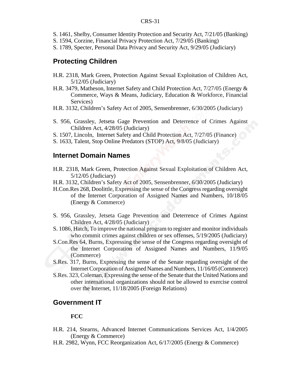#### CRS-31

- S. 1461, Shelby, Consumer Identity Protection and Security Act, 7/21/05 (Banking)
- S. 1594, Corzine, Financial Privacy Protection Act, 7/29/05 (Banking)
- S. 1789, Specter, Personal Data Privacy and Security Act, 9/29/05 (Judiciary)

#### **Protecting Children**

- H.R. 2318, Mark Green, Protection Against Sexual Exploitation of Children Act, 5/12/05 (Judiciary)
- H.R. 3479, Matheson, Internet Safety and Child Protection Act, 7/27/05 (Energy & Commerce, Ways & Means, Judiciary, Education & Workforce, Financial Services)
- H.R. 3132, Children's Safety Act of 2005, Sensenbrenner, 6/30/2005 (Judiciary)
- S. 956, Grassley, Jetseta Gage Prevention and Deterrence of Crimes Against Children Act, 4/28/05 (Judiciary)
- S. 1507, Lincoln, Internet Safety and Child Protection Act, 7/27/05 (Finance)
- S. 1633, Talent, Stop Online Predators (STOP) Act, 9/8/05 (Judiciary)

#### **Internet Domain Names**

- H.R. 2318, Mark Green, Protection Against Sexual Exploitation of Children Act, 5/12/05 (Judiciary)
- H.R. 3132, Children's Safety Act of 2005, Sensenbrenner, 6/30/2005 (Judiciary)
- H.Con.Res 268, Doolittle, Expressing the sense of the Congress regarding oversight of the Internet Corporation of Assigned Names and Numbers, 10/18/05 (Energy & Commerce)
- S. 956, Grassley, Jetseta Gage Prevention and Deterrence of Crimes Against Children Act, 4/28/05 (Judiciary)
- S. 1086, Hatch, To improve the national program to register and monitor individuals who commit crimes against children or sex offenses,  $5/19/2005$  (Judiciary)
- S.Con.Res 64, Burns, Expressing the sense of the Congress regarding oversight of the Internet Corporation of Assigned Names and Numbers, 11/9/05 (Commerce)
- S.Res. 317, Burns, Expressing the sense of the Senate regarding oversight of the Internet Corporation of Assigned Names and Numbers, 11/16/05 (Commerce)
- S.Res. 323, Coleman, Expressing the sense of the Senate that the United Nations and other international organizations should not be allowed to exercise control over the Internet, 11/18/2005 (Foreign Relations)

#### **Government IT**

#### **FCC**

- H.R. 214, Stearns, Advanced Internet Communications Services Act, 1/4/2005 (Energy & Commerce)
- H.R. 2982, Wynn, FCC Reorganization Act, 6/17/2005 (Energy & Commerce)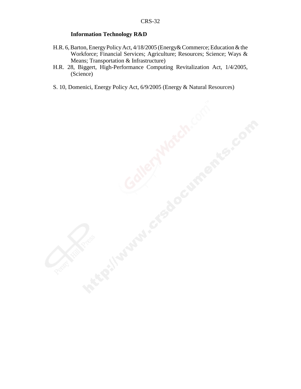#### **Information Technology R&D**

- H.R. 6, Barton, Energy Policy Act, 4/18/2005 (Energy& Commerce; Education & the Workforce; Financial Services; Agriculture; Resources; Science; Ways & Means; Transportation & Infrastructure)
- H.R. 28, Biggert, High-Performance Computing Revitalization Act, 1/4/2005, (Science)
- S. 10, Domenici, Energy Policy Act, 6/9/2005 (Energy & Natural Resources)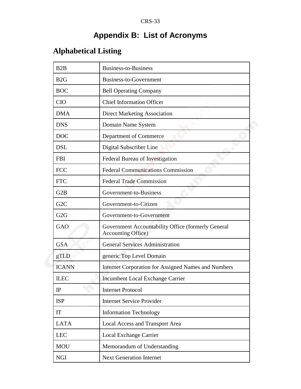# **Appendix B: List of Acronyms**

# **Alphabetical Listing**

| B2B              | <b>Business-to-Business</b>                                                      |
|------------------|----------------------------------------------------------------------------------|
| B2G              | Business-to-Government                                                           |
| <b>BOC</b>       | <b>Bell Operating Company</b>                                                    |
| <b>CIO</b>       | <b>Chief Information Officer</b>                                                 |
| <b>DMA</b>       | <b>Direct Marketing Association</b>                                              |
| <b>DNS</b>       | Domain Name System                                                               |
| <b>DOC</b>       | Department of Commerce                                                           |
| <b>DSL</b>       | Digital Subscriber Line                                                          |
| <b>FBI</b>       | Federal Bureau of Investigation                                                  |
| <b>FCC</b>       | <b>Federal Communications Commission</b>                                         |
| <b>FTC</b>       | <b>Federal Trade Commission</b>                                                  |
| G2B              | Government-to-Business                                                           |
| G <sub>2</sub> C | Government-to-Citizen                                                            |
| G <sub>2</sub> G | Government-to-Government                                                         |
| <b>GAO</b>       | Government Accountability Office (formerly General<br><b>Accounting Office</b> ) |
| <b>GSA</b>       | <b>General Services Administration</b>                                           |
| gTLD             | generic Top Level Domain                                                         |
| <b>ICANN</b>     | <b>Internet Corporation for Assigned Names and Numbers</b>                       |
| <b>ILEC</b>      | Incumbent Local Exchange Carrier                                                 |
| IP               | <b>Internet Protocol</b>                                                         |
| <b>ISP</b>       | <b>Internet Service Provider</b>                                                 |
| <b>IT</b>        | <b>Information Technology</b>                                                    |
| <b>LATA</b>      | Local Access and Transport Area                                                  |
| <b>LEC</b>       | Local Exchange Carrier                                                           |
| <b>MOU</b>       | Memorandum of Understanding                                                      |
| <b>NGI</b>       | <b>Next Generation Internet</b>                                                  |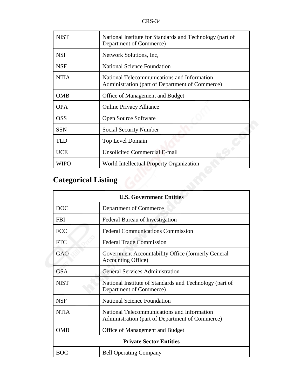| <b>NIST</b> | National Institute for Standards and Technology (part of<br>Department of Commerce)            |
|-------------|------------------------------------------------------------------------------------------------|
| <b>NSI</b>  | Network Solutions, Inc.                                                                        |
| <b>NSF</b>  | <b>National Science Foundation</b>                                                             |
| <b>NTIA</b> | National Telecommunications and Information<br>Administration (part of Department of Commerce) |
| <b>OMB</b>  | Office of Management and Budget                                                                |
| <b>OPA</b>  | <b>Online Privacy Alliance</b>                                                                 |
| <b>OSS</b>  | <b>Open Source Software</b>                                                                    |
| <b>SSN</b>  | <b>Social Security Number</b>                                                                  |
| <b>TLD</b>  | <b>Top Level Domain</b>                                                                        |
| <b>UCE</b>  | <b>Unsolicited Commercial E-mail</b>                                                           |
| WIPO        | World Intellectual Property Organization                                                       |

# **Categorical Listing**

| <b>U.S. Government Entities</b> |                                                                                                |  |
|---------------------------------|------------------------------------------------------------------------------------------------|--|
| <b>DOC</b>                      | Department of Commerce                                                                         |  |
| <b>FBI</b>                      | Federal Bureau of Investigation                                                                |  |
| <b>FCC</b>                      | <b>Federal Communications Commission</b>                                                       |  |
| <b>FTC</b>                      | <b>Federal Trade Commission</b>                                                                |  |
| GAO                             | Government Accountability Office (formerly General<br><b>Accounting Office</b> )               |  |
| <b>GSA</b>                      | <b>General Services Administration</b>                                                         |  |
| <b>NIST</b>                     | National Institute of Standards and Technology (part of<br>Department of Commerce)             |  |
| <b>NSF</b>                      | National Science Foundation                                                                    |  |
| <b>NTIA</b>                     | National Telecommunications and Information<br>Administration (part of Department of Commerce) |  |
| <b>OMB</b>                      | Office of Management and Budget                                                                |  |
| <b>Private Sector Entities</b>  |                                                                                                |  |
| BOC                             | <b>Bell Operating Company</b>                                                                  |  |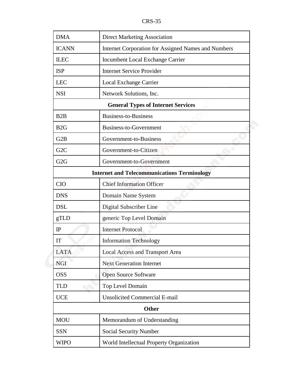| <b>DMA</b>                                         | <b>Direct Marketing Association</b>                 |  |
|----------------------------------------------------|-----------------------------------------------------|--|
| <b>ICANN</b>                                       | Internet Corporation for Assigned Names and Numbers |  |
| <b>ILEC</b>                                        | Incumbent Local Exchange Carrier                    |  |
| <b>ISP</b>                                         | <b>Internet Service Provider</b>                    |  |
| <b>LEC</b>                                         | Local Exchange Carrier                              |  |
| <b>NSI</b>                                         | Network Solutions, Inc.                             |  |
| <b>General Types of Internet Services</b>          |                                                     |  |
| B2B                                                | <b>Business-to-Business</b>                         |  |
| B2G                                                | Business-to-Government                              |  |
| G <sub>2</sub> B                                   | Government-to-Business                              |  |
| G <sub>2</sub> C                                   | Government-to-Citizen                               |  |
| G2G                                                | Government-to-Government                            |  |
| <b>Internet and Telecommunications Terminology</b> |                                                     |  |
| <b>CIO</b>                                         | <b>Chief Information Officer</b>                    |  |
| <b>DNS</b>                                         | Domain Name System                                  |  |
| <b>DSL</b>                                         | Digital Subscriber Line                             |  |
| gTLD                                               | generic Top Level Domain                            |  |
| IP                                                 | <b>Internet Protocol</b>                            |  |
| IT                                                 | <b>Information Technology</b>                       |  |
| <b>LATA</b>                                        | Local Access and Transport Area                     |  |
| <b>NGI</b>                                         | <b>Next Generation Internet</b>                     |  |
| <b>OSS</b>                                         | <b>Open Source Software</b>                         |  |
| <b>TLD</b>                                         | Top Level Domain                                    |  |
| <b>UCE</b>                                         | <b>Unsolicited Commercial E-mail</b>                |  |
| <b>Other</b>                                       |                                                     |  |
| <b>MOU</b>                                         | Memorandum of Understanding                         |  |
| <b>SSN</b>                                         | Social Security Number                              |  |
| <b>WIPO</b>                                        | World Intellectual Property Organization            |  |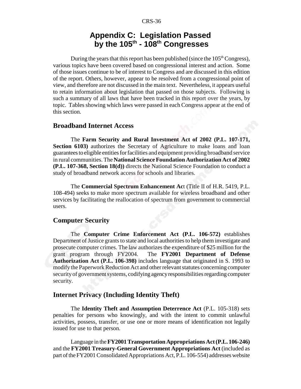## **Appendix C: Legislation Passed by the 105th - 108th Congresses**

During the years that this report has been published (since the  $105<sup>th</sup> Congress$ ), various topics have been covered based on congressional interest and action. Some of those issues continue to be of interest to Congress and are discussed in this edition of the report. Others, however, appear to be resolved from a congressional point of view, and therefore are not discussed in the main text. Nevertheless, it appears useful to retain information about legislation that passed on those subjects. Following is such a summary of all laws that have been tracked in this report over the years, by topic. Tables showing which laws were passed in each Congress appear at the end of this section.

#### **Broadband Internet Access**

The **Farm Security and Rural Investment Act of 2002 (P.L. 107-171, Section 6103**) authorizes the Secretary of Agriculture to make loans and loan guarantees to eligible entities for facilities and equipment providing broadband service in rural communities. The **National Science Foundation Authorization Act of 2002 (P.L. 107-368, Section 18(d))** directs the National Science Foundation to conduct a study of broadband network access for schools and libraries.

The **Commercial Spectrum Enhancement Ac**t (Title II of H.R. 5419, P.L. 108-494) seeks to make more spectrum available for wireless broadband and other services by facilitating the reallocation of spectrum from government to commercial users.

#### **Computer Security**

The **Computer Crime Enforcement Act (P.L. 106-572)** establishes Department of Justice grants to state and local authorities to help them investigate and prosecute computer crimes. The law authorizes the expenditure of \$25 million for the grant program through FY2004. The **FY2001 Department of Defense Authorization Act (P.L. 106-398)** includes language that originated in S. 1993 to modify the Paperwork Reduction Act and other relevant statutes concerning computer security of government systems, codifying agency responsibilities regarding computer security.

#### **Internet Privacy (Including Identity Theft)**

The **Identity Theft and Assumption Deterrence Act** (P.L. 105-318) sets penalties for persons who knowingly, and with the intent to commit unlawful activities, possess, transfer, or use one or more means of identification not legally issued for use to that person.

Language in the **FY2001 Transportation Appropriations Act (P.L. 106-246)** and the **FY2001 Treasury-General Government Appropriations Act** (included as part of the FY2001 Consolidated Appropriations Act, P.L. 106-554) addresses website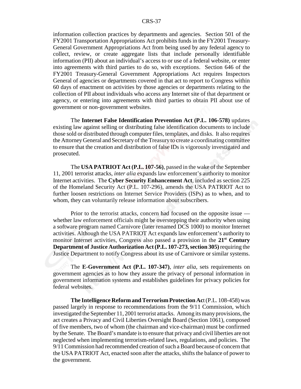information collection practices by departments and agencies. Section 501 of the FY2001 Transportation Appropriations Act prohibits funds in the FY2001 Treasury-General Government Appropriations Act from being used by any federal agency to collect, review, or create aggregate lists that include personally identifiable information (PII) about an individual's access to or use of a federal website, or enter into agreements with third parties to do so, with exceptions. Section 646 of the FY2001 Treasury-General Government Appropriations Act requires Inspectors General of agencies or departments covered in that act to report to Congress within 60 days of enactment on activities by those agencies or departments relating to the collection of PII about individuals who access any Internet site of that department or agency, or entering into agreements with third parties to obtain PII about use of government or non-government websites.

The **Internet False Identification Prevention Act (P.L. 106-578)** updates existing law against selling or distributing false identification documents to include those sold or distributed through computer files, templates, and disks. It also requires the Attorney General and Secretary of the Treasury to create a coordinating committee to ensure that the creation and distribution of false IDs is vigorously investigated and prosecuted.

The **USA PATRIOT Act (P.L. 107-56)**, passed in the wake of the September 11, 2001 terrorist attacks, *inter alia* expands law enforcement's authority to monitor Internet activities. The **Cyber Security Enhancement Act**, included as section 225 of the Homeland Security Act (P.L. 107-296), amends the USA PATRIOT Act to further loosen restrictions on Internet Service Providers (ISPs) as to when, and to whom, they can voluntarily release information about subscribers.

Prior to the terrorist attacks, concern had focused on the opposite issue whether law enforcement officials might be overstepping their authority when using a software program named Carnivore (later renamed DCS 1000) to monitor Internet activities. Although the USA PATRIOT Act expands law enforcement's authority to monitor Internet activities, Congress also passed a provision in the **21st Century Department of Justice Authorization Act (P.L. 107-273, section 305)** requiring the Justice Department to notify Congress about its use of Carnivore or similar systems.

The **E-Government Act (P.L. 107-347)**, *inter alia*, sets requirements on government agencies as to how they assure the privacy of personal information in government information systems and establishes guidelines for privacy policies for federal websites.

**The Intelligence Reform and Terrorism Protection Ac**t (P.L. 108-458) was passed largely in response to recommendations from the 9/11 Commission, which investigated the September 11, 2001 terrorist attacks. Among its many provisions, the act creates a Privacy and Civil Liberties Oversight Board (Section 1061), composed of five members, two of whom (the chairman and vice-chairman) must be confirmed by the Senate. The Board's mandate is to ensure that privacy and civil liberties are not neglected when implementing terrorism-related laws, regulations, and policies. The 9/11 Commission had recommended creation of such a Board because of concern that the USA PATRIOT Act, enacted soon after the attacks, shifts the balance of power to the government.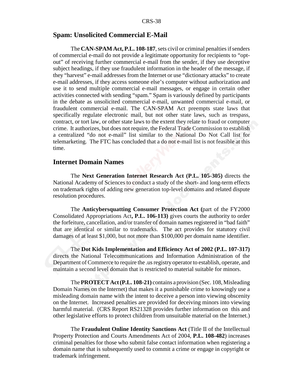#### **Spam: Unsolicited Commercial E-Mail**

The **CAN-SPAM Act, P.L. 108-187**, sets civil or criminal penalties if senders of commercial e-mail do not provide a legitimate opportunity for recipients to "optout" of receiving further commercial e-mail from the sender, if they use deceptive subject headings, if they use fraudulent information in the header of the message, if they "harvest" e-mail addresses from the Internet or use "dictionary attacks" to create e-mail addresses, if they access someone else's computer without authorization and use it to send multiple commercial e-mail messages, or engage in certain other activities connected with sending "spam." Spam is variously defined by participants in the debate as unsolicited commercial e-mail, unwanted commercial e-mail, or fraudulent commercial e-mail. The CAN-SPAM Act preempts state laws that specifically regulate electronic mail, but not other state laws, such as trespass, contract, or tort law, or other state laws to the extent they relate to fraud or computer crime. It authorizes, but does not require, the Federal Trade Commission to establish a centralized "do not e-mail" list similar to the National Do Not Call list for telemarketing. The FTC has concluded that a do not e-mail list is not feasible at this time.

#### **Internet Domain Names**

The **Next Generation Internet Research Act (P.L. 105-305)** directs the National Academy of Sciences to conduct a study of the short- and long-term effects on trademark rights of adding new generation top-level domains and related dispute resolution procedures.

The **Anticybersquatting Consumer Protection Act (**part of the FY2000 Consolidated Appropriations Act**, P.L. 106-113)** gives courts the authority to order the forfeiture, cancellation, and/or transfer of domain names registered in "bad faith" that are identical or similar to trademarks. The act provides for statutory civil damages of at least \$1,000, but not more than \$100,000 per domain name identifier.

The **Dot Kids Implementation and Efficiency Act of 2002 (P.L. 107-317)** directs the National Telecommunications and Information Administration of the Department of Commerce to require the .us registry operator to establish, operate, and maintain a second level domain that is restricted to material suitable for minors.

The **PROTECT Act (P.L. 108-21)** contains a provision (Sec. 108, Misleading Domain Names on the Internet) that makes it a punishable crime to knowingly use a misleading domain name with the intent to deceive a person into viewing obscenity on the Internet. Increased penalties are provided for deceiving minors into viewing harmful material. (CRS Report RS21328 provides further information on this and other legislative efforts to protect children from unsuitable material on the Internet.)

The **Fraudulent Online Identity Sanctions Act** (Title II of the Intellectual Property Protection and Courts Amendments Act of 2004, **P.L. 108-482**) increases criminal penalties for those who submit false contact information when registering a domain name that is subsequently used to commit a crime or engage in copyright or trademark infringement.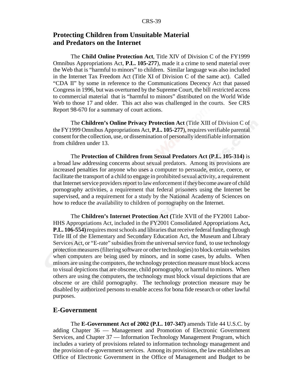#### **Protecting Children from Unsuitable Material and Predators on the Internet**

The **Child Online Protection Act**, Title XIV of Division C of the FY1999 Omnibus Appropriations Act, **P.L. 105-277**), made it a crime to send material over the Web that is "harmful to minors" to children. Similar language was also included in the Internet Tax Freedom Act (Title XI of Division C of the same act). Called "CDA II" by some in reference to the Communications Decency Act that passed Congress in 1996, but was overturned by the Supreme Court, the bill restricted access to commercial material that is "harmful to minors" distributed on the World Wide Web to those 17 and older. This act also was challenged in the courts. See CRS Report 98-670 for a summary of court actions.

The **Children's Online Privacy Protection Act** (Title XIII of Division C of the FY1999 Omnibus Appropriations Act, **P.L. 105-277**), requires verifiable parental consent for the collection, use, or dissemination of personally identifiable information from children under 13.

The **Protection of Children from Sexual Predators Act (P.L. 105-314)** is a broad law addressing concerns about sexual predators. Among its provisions are increased penalties for anyone who uses a computer to persuade, entice, coerce, or facilitate the transport of a child to engage in prohibited sexual activity, a requirement that Internet service providers report to law enforcement if they become aware of child pornography activities, a requirement that federal prisoners using the Internet be supervised, and a requirement for a study by the National Academy of Sciences on how to reduce the availability to children of pornography on the Internet.

The **Children's Internet Protection Act (**Title XVII of the FY2001 Labor-HHS Appropriations Act, included in the FY2001 Consolidated Appropriations Act**, P.L. 106-554)** requires most schools and libraries that receive federal funding through Title III of the Elementary and Secondary Education Act, the Museum and Library Services Act, or "E-rate" subsidies from the universal service fund, to use technology protection measures (filtering software or other technologies) to block certain websites when computers are being used by minors, and in some cases, by adults. When minors are using the computers, the technology protection measure must block access to visual depictions that are obscene, child pornography, or harmful to minors. When others are using the computers, the technology must block visual depictions that are obscene or are child pornography. The technology protection measure may be disabled by authorized persons to enable access for bona fide research or other lawful purposes.

#### **E-Government**

The **E-Government Act of 2002 (P.L. 107-347)** amends Title 44 U.S.C. by adding Chapter 36 — Management and Promotion of Electronic Government Services, and Chapter 37 — Information Technology Management Program, which includes a variety of provisions related to information technology management and the provision of e-government services. Among its provisions, the law establishes an Office of Electronic Government in the Office of Management and Budget to be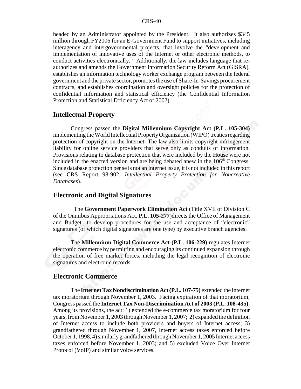headed by an Administrator appointed by the President. It also authorizes \$345 million through FY2006 for an E-Government Fund to support initiatives, including interagency and intergovernmental projects, that involve the "development and implementation of innovative uses of the Internet or other electronic methods, to conduct activities electronically." Additionally, the law includes language that reauthorizes and amends the Government Information Security Reform Act (GISRA), establishes an information technology worker exchange program between the federal government and the private sector, promotes the use of Share-In-Savings procurement contracts, and establishes coordination and oversight policies for the protection of confidential information and statistical efficiency (the Confidential Information Protection and Statistical Efficiency Act of 2002).

#### **Intellectual Property**

Congress passed the **Digital Millennium Copyright Act (P.L. 105-304)** implementing the World Intellectual Property Organization (WIPO) treaties regarding protection of copyright on the Internet. The law also limits copyright infringement liability for online service providers that serve only as conduits of information. Provisions relating to database protection that were included by the House were not included in the enacted version and are being debated anew in the  $106<sup>th</sup>$  Congress. Since database protection per se is not an Internet issue, it is not included in this report (see CRS Report 98-902, *Intellectual Property Protection for Noncreative Databases*).

#### **Electronic and Digital Signatures**

 The **Government Paperwork Elimination Act** (Title XVII of Division C of the Omnibus Appropriations Act, **P.L. 105-277**)directs the Office of Management and Budget to develop procedures for the use and acceptance of "electronic" signatures (of which digital signatures are one type) by executive branch agencies.

The **Millennium Digital Commerce Act (P.L. 106-229)** regulates Internet electronic commerce by permitting and encouraging its continued expansion through the operation of free market forces, including the legal recognition of electronic signatures and electronic records.

#### **Electronic Commerce**

The **Internet Tax Nondiscrimination Act (P.L. 107-75)** extended the Internet tax moratorium through November 1, 2003. Facing expiration of that moratorium, Congress passed the **Internet Tax Non-Discrimination Act of 2003 (P.L. 108-435)**. Among its provisions, the act: 1) extended the e-commerce tax moratorium for four years, from November 1, 2003 through November 1, 2007; 2) expanded the definition of Internet access to include both providers and buyers of Internet access; 3) grandfathered through November 1, 2007, Internet access taxes enforced before October 1, 1998; 4) similarly grandfathered through November 1, 2005 Internet access taxes enforced before November 1, 2003; and 5) excluded Voice Over Internet Protocol (VoIP) and similar voice services.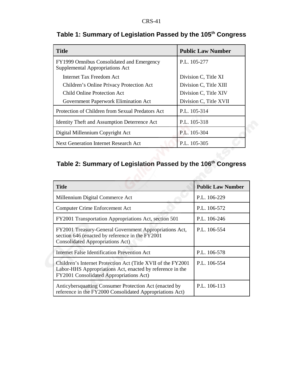| <b>Title</b>                                                                 | <b>Public Law Number</b> |
|------------------------------------------------------------------------------|--------------------------|
| FY1999 Omnibus Consolidated and Emergency<br>Supplemental Appropriations Act | P.L. 105-277             |
| <b>Internet Tax Freedom Act</b>                                              | Division C, Title XI     |
| Children's Online Privacy Protection Act                                     | Division C, Title XIII   |
| Child Online Protection Act                                                  | Division C, Title XIV    |
| Government Paperwork Elimination Act                                         | Division C, Title XVII   |
| Protection of Children from Sexual Predators Act                             | P.L. 105-314             |
| <b>Identity Theft and Assumption Deterrence Act</b>                          | P.L. 105-318             |
| Digital Millennium Copyright Act                                             | P.L. 105-304             |
| <b>Next Generation Internet Research Act</b>                                 | P.L. 105-305             |

## **Table 1: Summary of Legislation Passed by the 105th Congress**

## **Table 2: Summary of Legislation Passed by the 106th Congress**

| <b>Title</b>                                                                                                                                                          | <b>Public Law Number</b> |
|-----------------------------------------------------------------------------------------------------------------------------------------------------------------------|--------------------------|
| Millennium Digital Commerce Act                                                                                                                                       | P.L. 106-229             |
| <b>Computer Crime Enforcement Act</b>                                                                                                                                 | P.L. 106-572             |
| FY2001 Transportation Appropriations Act, section 501                                                                                                                 | P.L. 106-246             |
| FY2001 Treasury-General Government Appropriations Act,<br>section 646 (enacted by reference in the FY2001<br><b>Consolidated Appropriations Act)</b>                  | P.L. 106-554             |
| Internet False Identification Prevention Act                                                                                                                          | P.L. 106-578             |
| Children's Internet Protection Act (Title XVII of the FY2001)<br>Labor-HHS Appropriations Act, enacted by reference in the<br>FY2001 Consolidated Appropriations Act) | P.L. 106-554             |
| Anticybersquatting Consumer Protection Act (enacted by<br>reference in the FY2000 Consolidated Appropriations Act)                                                    | P.L. 106-113             |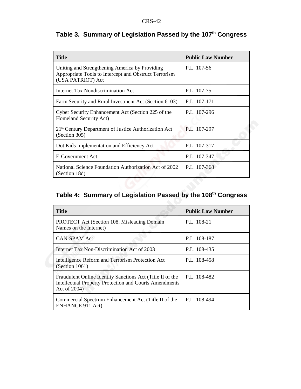| <b>Title</b>                                                                                                                 | <b>Public Law Number</b> |
|------------------------------------------------------------------------------------------------------------------------------|--------------------------|
| Uniting and Strengthening America by Providing<br>Appropriate Tools to Intercept and Obstruct Terrorism<br>(USA PATRIOT) Act | P.L. 107-56              |
| Internet Tax Nondiscrimination Act                                                                                           | P.L. 107-75              |
| Farm Security and Rural Investment Act (Section 6103)                                                                        | P.L. 107-171             |
| Cyber Security Enhancement Act (Section 225 of the<br>Homeland Security Act)                                                 | P.L. 107-296             |
| 21 <sup>st</sup> Century Department of Justice Authorization Act<br>(Section 305)                                            | P.L. 107-297             |
| Dot Kids Implementation and Efficiency Act                                                                                   | P.L. 107-317             |
| E-Government Act                                                                                                             | P.L. 107-347             |
| National Science Foundation Authorization Act of 2002<br>(Section 18d)                                                       | P.L. 107-368             |

## **Table 3. Summary of Legislation Passed by the 107th Congress**

## **Table 4: Summary of Legislation Passed by the 108th Congress**

| <b>Title</b>                                                                                                                               | <b>Public Law Number</b> |
|--------------------------------------------------------------------------------------------------------------------------------------------|--------------------------|
| <b>PROTECT</b> Act (Section 108, Misleading Domain<br>Names on the Internet)                                                               | P.L. 108-21              |
| <b>CAN-SPAM Act</b>                                                                                                                        | P.L. 108-187             |
| Internet Tax Non-Discrimination Act of 2003                                                                                                | P.L. 108-435             |
| Intelligence Reform and Terrorism Protection Act<br>(Section 1061)                                                                         | P.L. 108-458             |
| Fraudulent Online Identity Sanctions Act (Title II of the<br><b>Intellectual Property Protection and Courts Amendments</b><br>Act of 2004) | P.L. 108-482             |
| Commercial Spectrum Enhancement Act (Title II of the<br><b>ENHANCE 911 Act)</b>                                                            | P.L. 108-494             |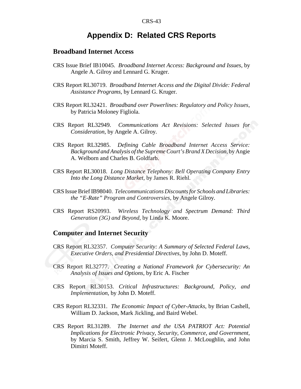## **Appendix D: Related CRS Reports**

#### **Broadband Internet Access**

- CRS Issue Brief IB10045. *Broadband Internet Access: Background and Issues*, by Angele A. Gilroy and Lennard G. Kruger.
- CRS Report RL30719. *Broadband Internet Access and the Digital Divide: Federal Assistance Programs*, by Lennard G. Kruger.
- CRS Report RL32421. *Broadband over Powerlines: Regulatory and Policy Issues*, by Patricia Moloney Figliola.
- CRS Report RL32949. *Communications Act Revisions: Selected Issues for Consideration*, by Angele A. Gilroy.
- CRS Report RL32985. *Defining Cable Broadband Internet Access Service: Background and Analysis of the Supreme Court's Brand X Decision*, by Angie A. Welborn and Charles B. Goldfarb.
- CRS Report RL30018. *Long Distance Telephony: Bell Operating Company Entry Into the Long Distance Market*, by James R. Riehl.
- CRS Issue Brief IB98040. *Telecommunications Discounts for Schools and Libraries: the "E-Rate" Program and Controversies*, by Angele Gilroy.
- CRS Report RS20993. *Wireless Technology and Spectrum Demand: Third Generation (3G) and Beyond*, by Linda K. Moore.

#### **Computer and Internet Security**

- CRS Report RL32357. *Computer Security: A Summary of Selected Federal Laws, Executive Orders, and Presidential Directives*, by John D. Moteff.
- CRS Report RL32777. *Creating a National Framework for Cybersecurity: An Analysis of Issues and Options*, by Eric A. Fischer
- CRS Report RL30153. *Critical Infrastructures: Background, Policy, and Implementation*, by John D. Moteff.
- CRS Report RL32331. *The Economic Impact of Cyber-Attacks*, by Brian Cashell, William D. Jackson, Mark Jickling, and Baird Webel.
- CRS Report RL31289. *The Internet and the USA PATRIOT Act: Potential Implications for Electronic Privacy, Security, Commerce, and Government*, by Marcia S. Smith, Jeffrey W. Seifert, Glenn J. McLoughlin, and John Dimitri Moteff.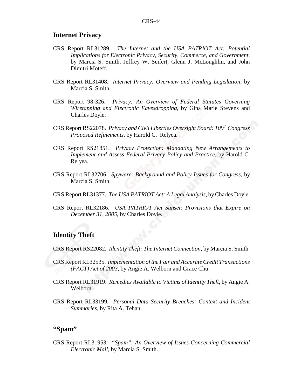#### **Internet Privacy**

- CRS Report RL31289. *The Internet and the USA PATRIOT Act: Potential Implications for Electronic Privacy, Security, Commerce, and Government*, by Marcia S. Smith, Jeffrey W. Seifert, Glenn J. McLoughlin, and John Dimitri Moteff.
- CRS Report RL31408. *Internet Privacy: Overview and Pending Legislation*, by Marcia S. Smith.
- CRS Report 98-326. *Privacy: An Overview of Federal Statutes Governing Wiretapping and Electronic Eavesdropping*, by Gina Marie Stevens and Charles Doyle.
- CRS Report RS22078. *Privacy and Civil Liberties Oversight Board: 109th Congress Proposed Refinements*, by Harold C. Relyea.
- CRS Report RS21851. *Privacy Protection: Mandating New Arrangements to Implement and Assess Federal Privacy Policy and Practice*, by Harold C. Relyea.
- CRS Report RL32706. *Spyware: Background and Policy Issues for Congress*, by Marcia S. Smith.
- CRS Report RL31377. *The USA PATRIOT Act: A Legal Analysis*, by Charles Doyle.
- CRS Report RL32186. *USA PATRIOT Act Sunset: Provisions that Expire on December 31, 2005*, by Charles Doyle.

#### **Identity Theft**

CRS Report RS22082. *Identity Theft: The Internet Connection*, by Marcia S. Smith.

- CRS Report RL32535. *Implementation of the Fair and Accurate Credit Transactions (FACT) Act of 2003*, by Angie A. Welborn and Grace Chu.
- CRS Report RL31919. *Remedies Available to Victims of Identity Theft*, by Angie A. Welborn.
- CRS Report RL33199. *Personal Data Security Breaches: Context and Incident Summaries*, by Rita A. Tehan.

#### **"Spam"**

CRS Report RL31953. *"Spam": An Overview of Issues Concerning Commercial Electronic Mail*, by Marcia S. Smith.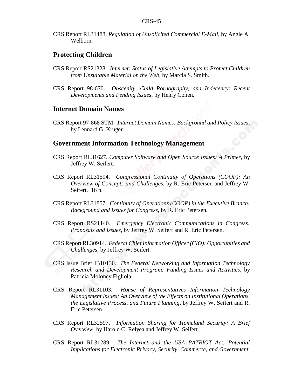CRS Report RL31488. *Regulation of Unsolicited Commercial E-Mail*, by Angie A. Welborn.

#### **Protecting Children**

- CRS Report RS21328. *Internet: Status of Legislative Attempts to Protect Children from Unsuitable Material on the Web*, by Marcia S. Smith.
- CRS Report 98-670. *Obscenity, Child Pornography, and Indecency: Recent Developments and Pending Issues*, by Henry Cohen.

#### **Internet Domain Names**

CRS Report 97-868 STM. *Internet Domain Names: Background and Policy Issues*, by Lennard G. Kruger.

#### **Government Information Technology Management**

- CRS Report RL31627. *Computer Software and Open Source Issues: A Primer*, by Jeffrey W. Seifert.
- CRS Report RL31594. *Congressional Continuity of Operations (COOP): An Overview of Concepts and Challenges*, by R. Eric Petersen and Jeffrey W. Seifert. 16 p.
- CRS Report RL31857. *Continuity of Operations (COOP) in the Executive Branch: Background and Issues for Congress*, by R. Eric Petersen.
- CRS Report RS21140. *Emergency Electronic Communications in Congress: Proposals and Issues*, by Jeffrey W. Seifert and R. Eric Petersen.
- CRS Report RL30914. *Federal Chief Information Officer (CIO): Opportunities and Challenges*, by Jeffrey W. Seifert.
- CRS Issue Brief IB10130. *The Federal Networking and Information Technology Research and Development Program: Funding Issues and Activities*, by Patricia Moloney Figliola.
- CRS Report RL31103. *House of Representatives Information Technology Management Issues: An Overview of the Effects on Institutional Operations, the Legislative Process, and Future Planning*, by Jeffrey W. Seifert and R. Eric Petersen.
- CRS Report RL32597. *Information Sharing for Homeland Security: A Brief Overview*, by Harold C. Relyea and Jeffrey W. Seifert.
- CRS Report RL31289. *The Internet and the USA PATRIOT Act: Potential Implications for Electronic Privacy, Security, Commerce, and Government*,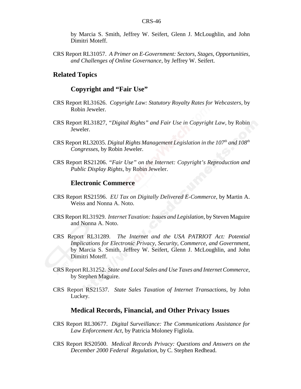by Marcia S. Smith, Jeffrey W. Seifert, Glenn J. McLoughlin, and John Dimitri Moteff.

CRS Report RL31057. *A Primer on E-Government: Sectors, Stages, Opportunities, and Challenges of Online Governance*, by Jeffrey W. Seifert.

#### **Related Topics**

#### **Copyright and "Fair Use"**

- CRS Report RL31626. *Copyright Law: Statutory Royalty Rates for Webcasters*, by Robin Jeweler.
- CRS Report RL31827, *"Digital Rights" and Fair Use in Copyright Law*, by Robin Jeweler.
- CRS Report RL32035. *Digital Rights Management Legislation in the 107<sup>th</sup> and 108<sup>th</sup> Congresses*, by Robin Jeweler.
- CRS Report RS21206. *"Fair Use" on the Internet: Copyright's Reproduction and Public Display Rights*, by Robin Jeweler.

#### **Electronic Commerce**

- CRS Report RS21596. *EU Tax on Digitally Delivered E-Commerce*, by Martin A. Weiss and Nonna A. Noto.
- CRS Report RL31929. *Internet Taxation: Issues and Legislation*, by Steven Maguire and Nonna A. Noto.
- CRS Report RL31289. *The Internet and the USA PATRIOT Act: Potential Implications for Electronic Privacy, Security, Commerce, and Government*, by Marcia S. Smith, Jeffrey W. Seifert, Glenn J. McLoughlin, and John Dimitri Moteff.
- CRS Report RL31252. *State and Local Sales and Use Taxes and Internet Commerce*, by Stephen Maguire.
- CRS Report RS21537. *State Sales Taxation of Internet Transactions*, by John Luckey.

#### **Medical Records, Financial, and Other Privacy Issues**

- CRS Report RL30677. *Digital Surveillance: The Communications Assistance for Law Enforcement Act*, by Patricia Moloney Figliola.
- CRS Report RS20500. *Medical Records Privacy: Questions and Answers on the December 2000 Federal Regulation*, by C. Stephen Redhead.